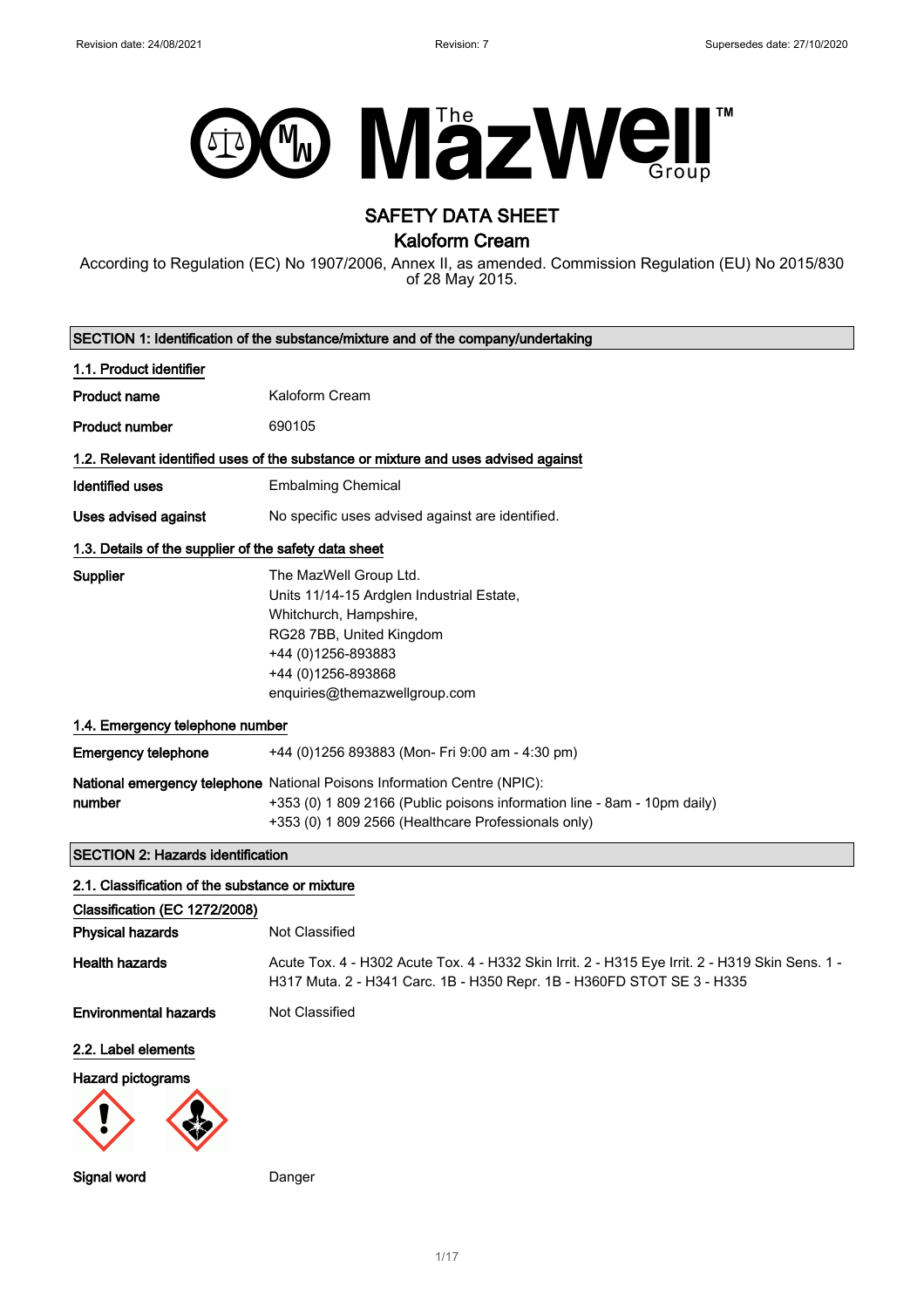

# SAFETY DATA SHEET

Kaloform Cream

According to Regulation (EC) No 1907/2006, Annex II, as amended. Commission Regulation (EU) No 2015/830 of 28 May 2015.

| SECTION 1: Identification of the substance/mixture and of the company/undertaking  |                                                                                                                                                                                                             |  |
|------------------------------------------------------------------------------------|-------------------------------------------------------------------------------------------------------------------------------------------------------------------------------------------------------------|--|
| 1.1. Product identifier                                                            |                                                                                                                                                                                                             |  |
| <b>Product name</b>                                                                | Kaloform Cream                                                                                                                                                                                              |  |
| <b>Product number</b>                                                              | 690105                                                                                                                                                                                                      |  |
| 1.2. Relevant identified uses of the substance or mixture and uses advised against |                                                                                                                                                                                                             |  |
| <b>Identified uses</b>                                                             | <b>Embalming Chemical</b>                                                                                                                                                                                   |  |
| <b>Uses advised against</b>                                                        | No specific uses advised against are identified.                                                                                                                                                            |  |
| 1.3. Details of the supplier of the safety data sheet                              |                                                                                                                                                                                                             |  |
| Supplier                                                                           | The MazWell Group Ltd.<br>Units 11/14-15 Ardglen Industrial Estate,<br>Whitchurch, Hampshire,<br>RG28 7BB, United Kingdom<br>+44 (0)1256-893883<br>+44 (0)1256-893868<br>enquiries@themazwellgroup.com      |  |
| 1.4. Emergency telephone number                                                    |                                                                                                                                                                                                             |  |
| <b>Emergency telephone</b>                                                         | +44 (0)1256 893883 (Mon- Fri 9:00 am - 4:30 pm)                                                                                                                                                             |  |
| number                                                                             | National emergency telephone National Poisons Information Centre (NPIC):<br>+353 (0) 1 809 2166 (Public poisons information line - 8am - 10pm daily)<br>+353 (0) 1 809 2566 (Healthcare Professionals only) |  |
| <b>SECTION 2: Hazards identification</b>                                           |                                                                                                                                                                                                             |  |
| 2.1. Classification of the substance or mixture                                    |                                                                                                                                                                                                             |  |
| Classification (EC 1272/2008)                                                      |                                                                                                                                                                                                             |  |
| <b>Physical hazards</b>                                                            | <b>Not Classified</b>                                                                                                                                                                                       |  |
| <b>Health hazards</b>                                                              | Acute Tox. 4 - H302 Acute Tox. 4 - H332 Skin Irrit. 2 - H315 Eye Irrit. 2 - H319 Skin Sens. 1 -<br>H317 Muta. 2 - H341 Carc. 1B - H350 Repr. 1B - H360FD STOT SE 3 - H335                                   |  |
| <b>Environmental hazards</b>                                                       | <b>Not Classified</b>                                                                                                                                                                                       |  |
| 2.2. Label elements                                                                |                                                                                                                                                                                                             |  |
| Hazard pictograms                                                                  |                                                                                                                                                                                                             |  |
| <b>Signal word</b>                                                                 | Danger                                                                                                                                                                                                      |  |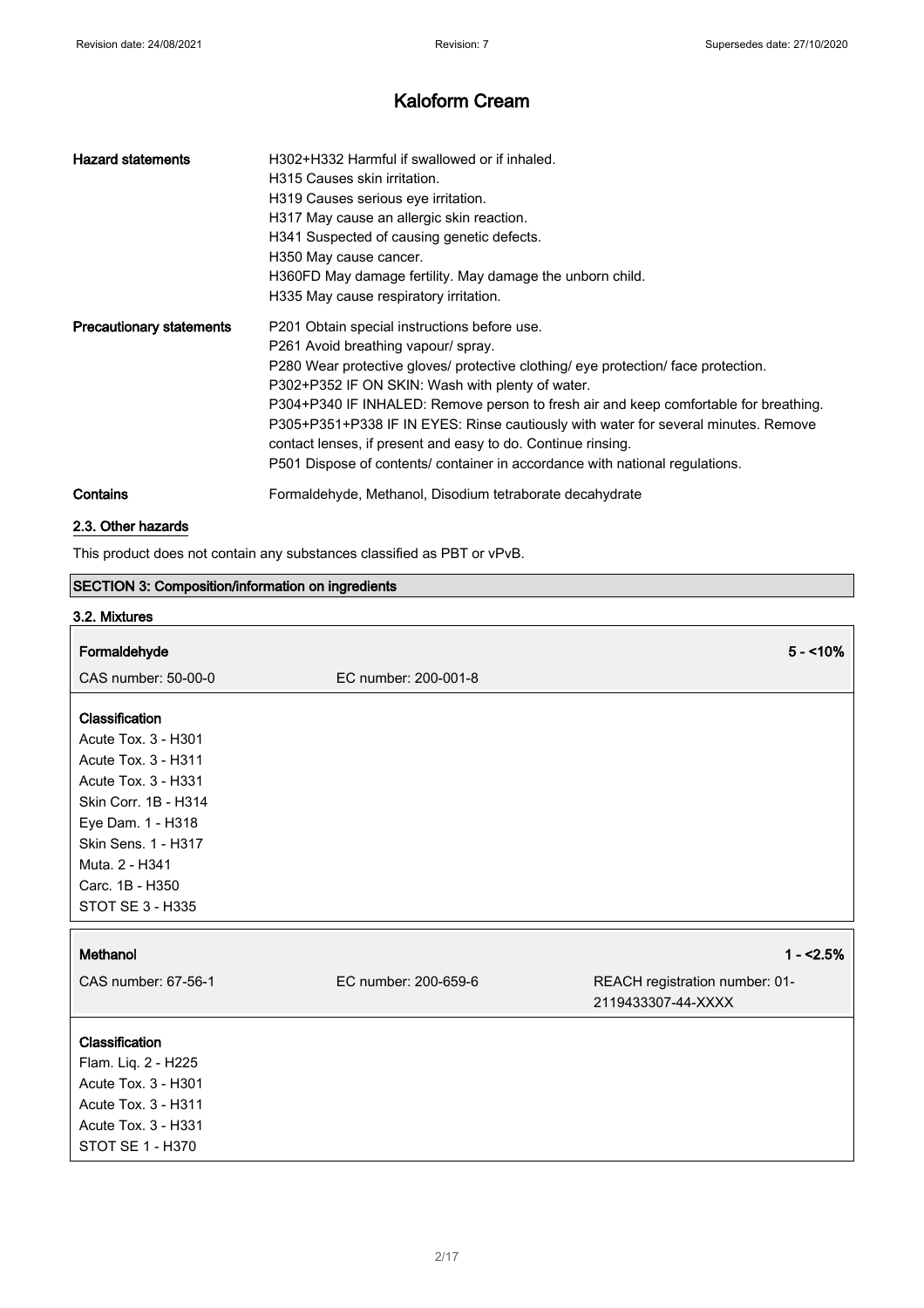| <b>Hazard statements</b>        | H302+H332 Harmful if swallowed or if inhaled.<br>H315 Causes skin irritation.<br>H319 Causes serious eye irritation.<br>H317 May cause an allergic skin reaction.<br>H341 Suspected of causing genetic defects.<br>H350 May cause cancer.<br>H360FD May damage fertility. May damage the unborn child.<br>H335 May cause respiratory irritation.                                                                                                                                                                                                            |
|---------------------------------|-------------------------------------------------------------------------------------------------------------------------------------------------------------------------------------------------------------------------------------------------------------------------------------------------------------------------------------------------------------------------------------------------------------------------------------------------------------------------------------------------------------------------------------------------------------|
| <b>Precautionary statements</b> | P201 Obtain special instructions before use.<br>P261 Avoid breathing vapour/ spray.<br>P280 Wear protective gloves/ protective clothing/ eye protection/ face protection.<br>P302+P352 IF ON SKIN: Wash with plenty of water.<br>P304+P340 IF INHALED: Remove person to fresh air and keep comfortable for breathing.<br>P305+P351+P338 IF IN EYES: Rinse cautiously with water for several minutes. Remove<br>contact lenses, if present and easy to do. Continue rinsing.<br>P501 Dispose of contents/ container in accordance with national regulations. |
| Contains                        | Formaldehyde, Methanol, Disodium tetraborate decahydrate                                                                                                                                                                                                                                                                                                                                                                                                                                                                                                    |
|                                 |                                                                                                                                                                                                                                                                                                                                                                                                                                                                                                                                                             |

## 2.3. Other hazards

This product does not contain any substances classified as PBT or vPvB.

| <b>SECTION 3: Composition/information on ingredients</b> |                      |                                                      |
|----------------------------------------------------------|----------------------|------------------------------------------------------|
| 3.2. Mixtures                                            |                      |                                                      |
| Formaldehyde                                             |                      | $5 - 10\%$                                           |
|                                                          |                      |                                                      |
| CAS number: 50-00-0                                      | EC number: 200-001-8 |                                                      |
| Classification                                           |                      |                                                      |
| Acute Tox. 3 - H301                                      |                      |                                                      |
| Acute Tox. 3 - H311                                      |                      |                                                      |
| Acute Tox. 3 - H331                                      |                      |                                                      |
| Skin Corr. 1B - H314                                     |                      |                                                      |
| Eye Dam. 1 - H318                                        |                      |                                                      |
| Skin Sens. 1 - H317                                      |                      |                                                      |
| Muta. 2 - H341                                           |                      |                                                      |
| Carc. 1B - H350                                          |                      |                                                      |
| STOT SE 3 - H335                                         |                      |                                                      |
|                                                          |                      |                                                      |
| Methanol                                                 |                      | $1 - 2.5%$                                           |
| CAS number: 67-56-1                                      | EC number: 200-659-6 | REACH registration number: 01-<br>2119433307-44-XXXX |
| Classification                                           |                      |                                                      |
| Flam. Liq. 2 - H225                                      |                      |                                                      |
| Acute Tox. 3 - H301                                      |                      |                                                      |
| Acute Tox. 3 - H311                                      |                      |                                                      |
| Acute Tox. 3 - H331                                      |                      |                                                      |
| STOT SE 1 - H370                                         |                      |                                                      |
|                                                          |                      |                                                      |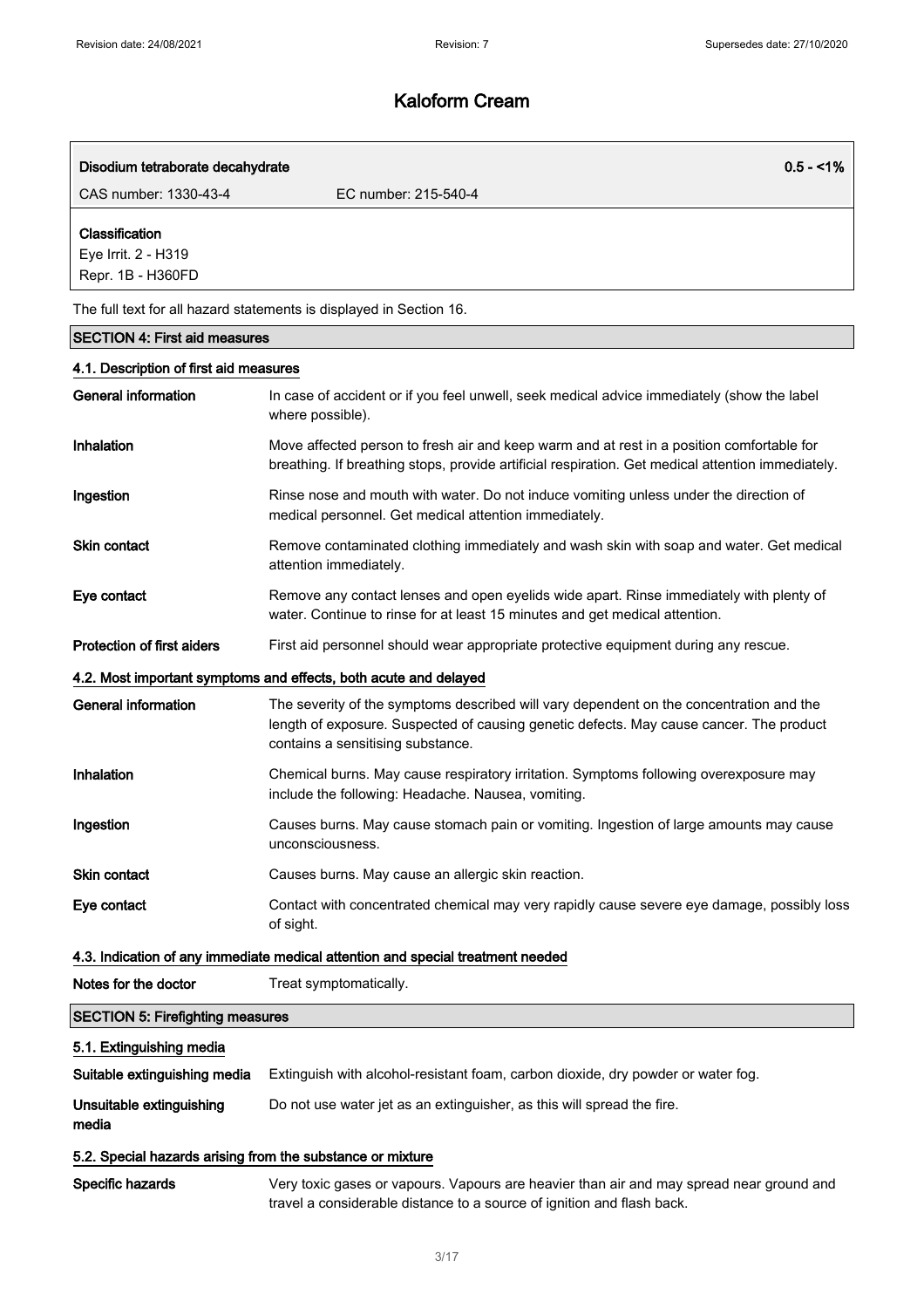| Disodium tetraborate decahydrate                           | $0.5 - 1\%$                                                                                                                                                                                                             |
|------------------------------------------------------------|-------------------------------------------------------------------------------------------------------------------------------------------------------------------------------------------------------------------------|
| CAS number: 1330-43-4                                      | EC number: 215-540-4                                                                                                                                                                                                    |
| Classification<br>Eye Irrit. 2 - H319<br>Repr. 1B - H360FD |                                                                                                                                                                                                                         |
|                                                            | The full text for all hazard statements is displayed in Section 16.                                                                                                                                                     |
| <b>SECTION 4: First aid measures</b>                       |                                                                                                                                                                                                                         |
| 4.1. Description of first aid measures                     |                                                                                                                                                                                                                         |
| <b>General information</b>                                 | In case of accident or if you feel unwell, seek medical advice immediately (show the label<br>where possible).                                                                                                          |
| Inhalation                                                 | Move affected person to fresh air and keep warm and at rest in a position comfortable for<br>breathing. If breathing stops, provide artificial respiration. Get medical attention immediately.                          |
| Ingestion                                                  | Rinse nose and mouth with water. Do not induce vomiting unless under the direction of<br>medical personnel. Get medical attention immediately.                                                                          |
| <b>Skin contact</b>                                        | Remove contaminated clothing immediately and wash skin with soap and water. Get medical<br>attention immediately.                                                                                                       |
| Eye contact                                                | Remove any contact lenses and open eyelids wide apart. Rinse immediately with plenty of<br>water. Continue to rinse for at least 15 minutes and get medical attention.                                                  |
| <b>Protection of first aiders</b>                          | First aid personnel should wear appropriate protective equipment during any rescue.                                                                                                                                     |
|                                                            | 4.2. Most important symptoms and effects, both acute and delayed                                                                                                                                                        |
| General information                                        | The severity of the symptoms described will vary dependent on the concentration and the<br>length of exposure. Suspected of causing genetic defects. May cause cancer. The product<br>contains a sensitising substance. |
| Inhalation                                                 | Chemical burns. May cause respiratory irritation. Symptoms following overexposure may<br>include the following: Headache. Nausea, vomiting.                                                                             |
| Ingestion                                                  | Causes burns. May cause stomach pain or vomiting. Ingestion of large amounts may cause<br>unconsciousness.                                                                                                              |
| <b>Skin contact</b>                                        | Causes burns. May cause an allergic skin reaction.                                                                                                                                                                      |
| Eye contact                                                | Contact with concentrated chemical may very rapidly cause severe eye damage, possibly loss<br>of sight.                                                                                                                 |
|                                                            | 4.3. Indication of any immediate medical attention and special treatment needed                                                                                                                                         |
| Notes for the doctor                                       | Treat symptomatically.                                                                                                                                                                                                  |
| <b>SECTION 5: Firefighting measures</b>                    |                                                                                                                                                                                                                         |
| 5.1. Extinguishing media                                   |                                                                                                                                                                                                                         |
| Suitable extinguishing media                               | Extinguish with alcohol-resistant foam, carbon dioxide, dry powder or water fog.                                                                                                                                        |

Unsuitable extinguishing media Do not use water jet as an extinguisher, as this will spread the fire.

### 5.2. Special hazards arising from the substance or mixture

Specific hazards Very toxic gases or vapours. Vapours are heavier than air and may spread near ground and travel a considerable distance to a source of ignition and flash back.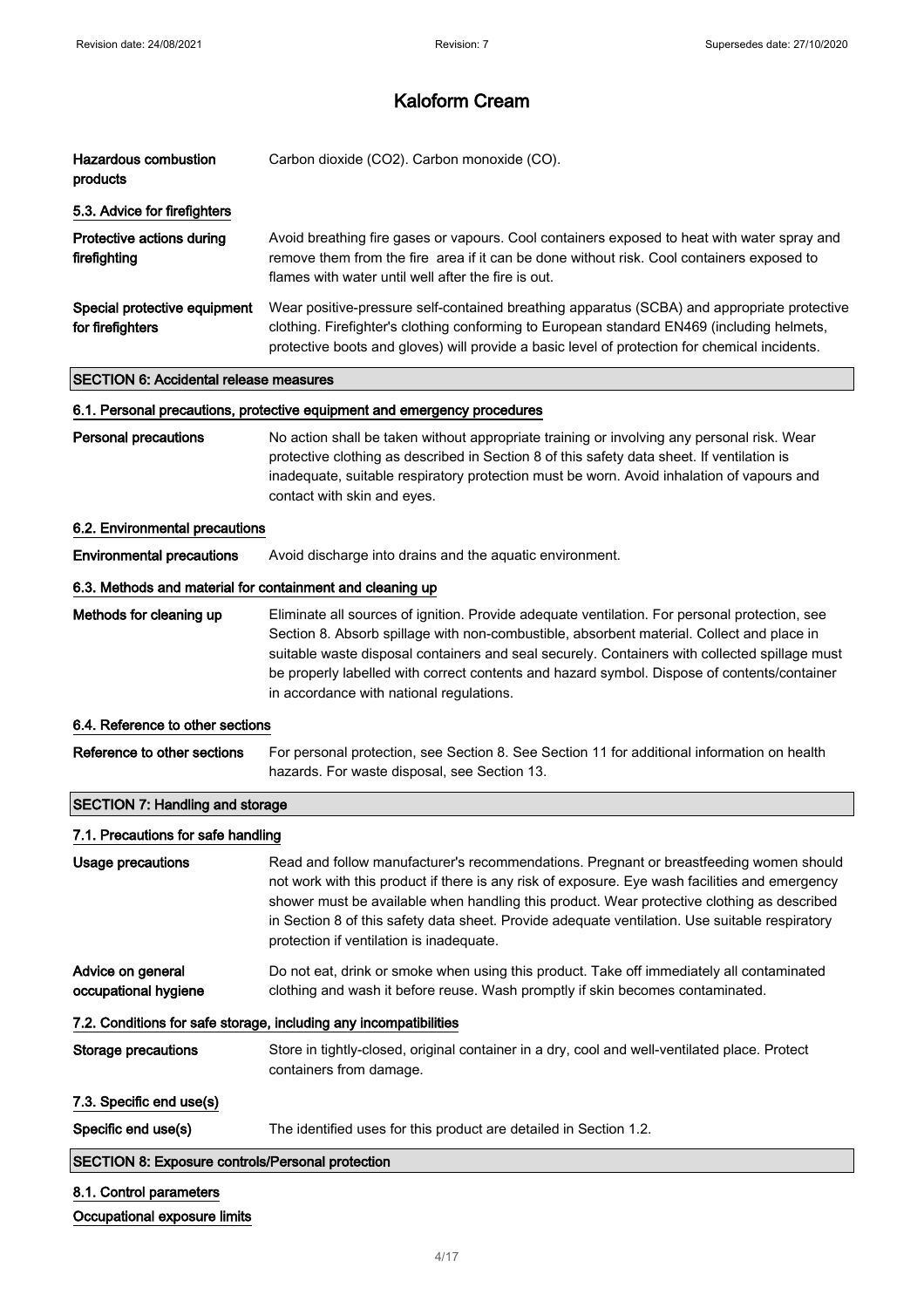| <b>Hazardous combustion</b><br>products                   | Carbon dioxide (CO2). Carbon monoxide (CO).                                                                                                                                                                                                                                                                                                                                                                                            |
|-----------------------------------------------------------|----------------------------------------------------------------------------------------------------------------------------------------------------------------------------------------------------------------------------------------------------------------------------------------------------------------------------------------------------------------------------------------------------------------------------------------|
| 5.3. Advice for firefighters                              |                                                                                                                                                                                                                                                                                                                                                                                                                                        |
| Protective actions during<br>firefighting                 | Avoid breathing fire gases or vapours. Cool containers exposed to heat with water spray and<br>remove them from the fire area if it can be done without risk. Cool containers exposed to<br>flames with water until well after the fire is out.                                                                                                                                                                                        |
| Special protective equipment<br>for firefighters          | Wear positive-pressure self-contained breathing apparatus (SCBA) and appropriate protective<br>clothing. Firefighter's clothing conforming to European standard EN469 (including helmets,<br>protective boots and gloves) will provide a basic level of protection for chemical incidents.                                                                                                                                             |
| <b>SECTION 6: Accidental release measures</b>             |                                                                                                                                                                                                                                                                                                                                                                                                                                        |
|                                                           | 6.1. Personal precautions, protective equipment and emergency procedures                                                                                                                                                                                                                                                                                                                                                               |
| <b>Personal precautions</b>                               | No action shall be taken without appropriate training or involving any personal risk. Wear<br>protective clothing as described in Section 8 of this safety data sheet. If ventilation is<br>inadequate, suitable respiratory protection must be worn. Avoid inhalation of vapours and<br>contact with skin and eyes.                                                                                                                   |
| 6.2. Environmental precautions                            |                                                                                                                                                                                                                                                                                                                                                                                                                                        |
| <b>Environmental precautions</b>                          | Avoid discharge into drains and the aquatic environment.                                                                                                                                                                                                                                                                                                                                                                               |
| 6.3. Methods and material for containment and cleaning up |                                                                                                                                                                                                                                                                                                                                                                                                                                        |
| Methods for cleaning up                                   | Eliminate all sources of ignition. Provide adequate ventilation. For personal protection, see<br>Section 8. Absorb spillage with non-combustible, absorbent material. Collect and place in<br>suitable waste disposal containers and seal securely. Containers with collected spillage must<br>be properly labelled with correct contents and hazard symbol. Dispose of contents/container<br>in accordance with national regulations. |
| 6.4. Reference to other sections                          |                                                                                                                                                                                                                                                                                                                                                                                                                                        |
| Reference to other sections                               | For personal protection, see Section 8. See Section 11 for additional information on health<br>hazards. For waste disposal, see Section 13.                                                                                                                                                                                                                                                                                            |
| <b>SECTION 7: Handling and storage</b>                    |                                                                                                                                                                                                                                                                                                                                                                                                                                        |
| 7.1. Precautions for safe handling                        |                                                                                                                                                                                                                                                                                                                                                                                                                                        |
| Usage precautions                                         | Read and follow manufacturer's recommendations. Pregnant or breastfeeding women should<br>not work with this product if there is any risk of exposure. Eye wash facilities and emergency<br>shower must be available when handling this product. Wear protective clothing as described<br>in Section 8 of this safety data sheet. Provide adequate ventilation. Use suitable respiratory<br>protection if ventilation is inadequate.   |
| Advice on general<br>occupational hygiene                 | Do not eat, drink or smoke when using this product. Take off immediately all contaminated<br>clothing and wash it before reuse. Wash promptly if skin becomes contaminated.                                                                                                                                                                                                                                                            |
|                                                           | 7.2. Conditions for safe storage, including any incompatibilities                                                                                                                                                                                                                                                                                                                                                                      |
| <b>Storage precautions</b>                                | Store in tightly-closed, original container in a dry, cool and well-ventilated place. Protect<br>containers from damage.                                                                                                                                                                                                                                                                                                               |
| 7.3. Specific end use(s)                                  |                                                                                                                                                                                                                                                                                                                                                                                                                                        |
| Specific end use(s)                                       | The identified uses for this product are detailed in Section 1.2.                                                                                                                                                                                                                                                                                                                                                                      |
| <b>SECTION 8: Exposure controls/Personal protection</b>   |                                                                                                                                                                                                                                                                                                                                                                                                                                        |
| 8.1. Control parameters                                   |                                                                                                                                                                                                                                                                                                                                                                                                                                        |
| Occupational exposure limits                              |                                                                                                                                                                                                                                                                                                                                                                                                                                        |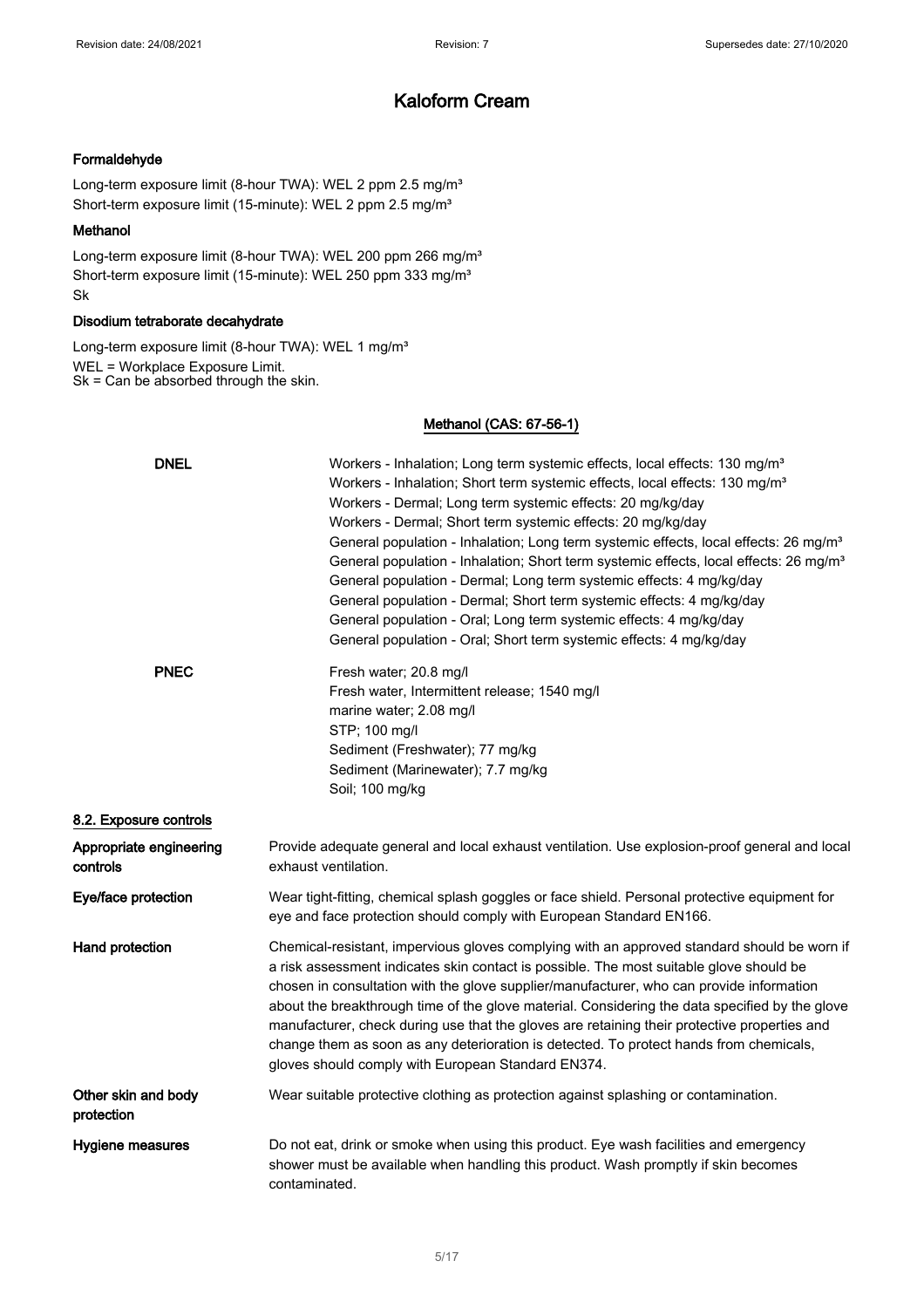### Formaldehyde

Long-term exposure limit (8-hour TWA): WEL 2 ppm 2.5 mg/m<sup>3</sup> Short-term exposure limit (15-minute): WEL 2 ppm 2.5 mg/m<sup>3</sup>

#### Methanol

Long-term exposure limit (8-hour TWA): WEL 200 ppm 266 mg/m<sup>3</sup> Short-term exposure limit (15-minute): WEL 250 ppm 333 mg/m<sup>3</sup> Sk

### Disodium tetraborate decahydrate

Long-term exposure limit (8-hour TWA): WEL 1 mg/m<sup>3</sup> WEL = Workplace Exposure Limit. Sk = Can be absorbed through the skin.

### Methanol (CAS: 67-56-1)

| <b>DNEL</b>                         | Workers - Inhalation; Long term systemic effects, local effects: 130 mg/m <sup>3</sup><br>Workers - Inhalation; Short term systemic effects, local effects: 130 mg/m <sup>3</sup><br>Workers - Dermal; Long term systemic effects: 20 mg/kg/day<br>Workers - Dermal; Short term systemic effects: 20 mg/kg/day<br>General population - Inhalation; Long term systemic effects, local effects: 26 mg/m <sup>3</sup><br>General population - Inhalation; Short term systemic effects, local effects: 26 mg/m <sup>3</sup><br>General population - Dermal; Long term systemic effects: 4 mg/kg/day<br>General population - Dermal; Short term systemic effects: 4 mg/kg/day<br>General population - Oral; Long term systemic effects: 4 mg/kg/day |
|-------------------------------------|------------------------------------------------------------------------------------------------------------------------------------------------------------------------------------------------------------------------------------------------------------------------------------------------------------------------------------------------------------------------------------------------------------------------------------------------------------------------------------------------------------------------------------------------------------------------------------------------------------------------------------------------------------------------------------------------------------------------------------------------|
| <b>PNEC</b>                         | General population - Oral; Short term systemic effects: 4 mg/kg/day<br>Fresh water; 20.8 mg/l<br>Fresh water, Intermittent release; 1540 mg/l<br>marine water; 2.08 mg/l<br>STP; 100 mg/l<br>Sediment (Freshwater); 77 mg/kg                                                                                                                                                                                                                                                                                                                                                                                                                                                                                                                   |
|                                     | Sediment (Marinewater); 7.7 mg/kg<br>Soil; 100 mg/kg                                                                                                                                                                                                                                                                                                                                                                                                                                                                                                                                                                                                                                                                                           |
| 8.2. Exposure controls              |                                                                                                                                                                                                                                                                                                                                                                                                                                                                                                                                                                                                                                                                                                                                                |
| Appropriate engineering<br>controls | Provide adequate general and local exhaust ventilation. Use explosion-proof general and local<br>exhaust ventilation.                                                                                                                                                                                                                                                                                                                                                                                                                                                                                                                                                                                                                          |
| Eye/face protection                 | Wear tight-fitting, chemical splash goggles or face shield. Personal protective equipment for<br>eye and face protection should comply with European Standard EN166.                                                                                                                                                                                                                                                                                                                                                                                                                                                                                                                                                                           |
| <b>Hand protection</b>              | Chemical-resistant, impervious gloves complying with an approved standard should be worn if<br>a risk assessment indicates skin contact is possible. The most suitable glove should be<br>chosen in consultation with the glove supplier/manufacturer, who can provide information<br>about the breakthrough time of the glove material. Considering the data specified by the glove<br>manufacturer, check during use that the gloves are retaining their protective properties and<br>change them as soon as any deterioration is detected. To protect hands from chemicals,<br>gloves should comply with European Standard EN374.                                                                                                           |
| Other skin and body<br>protection   | Wear suitable protective clothing as protection against splashing or contamination.                                                                                                                                                                                                                                                                                                                                                                                                                                                                                                                                                                                                                                                            |
| Hygiene measures                    | Do not eat, drink or smoke when using this product. Eye wash facilities and emergency<br>shower must be available when handling this product. Wash promptly if skin becomes<br>contaminated.                                                                                                                                                                                                                                                                                                                                                                                                                                                                                                                                                   |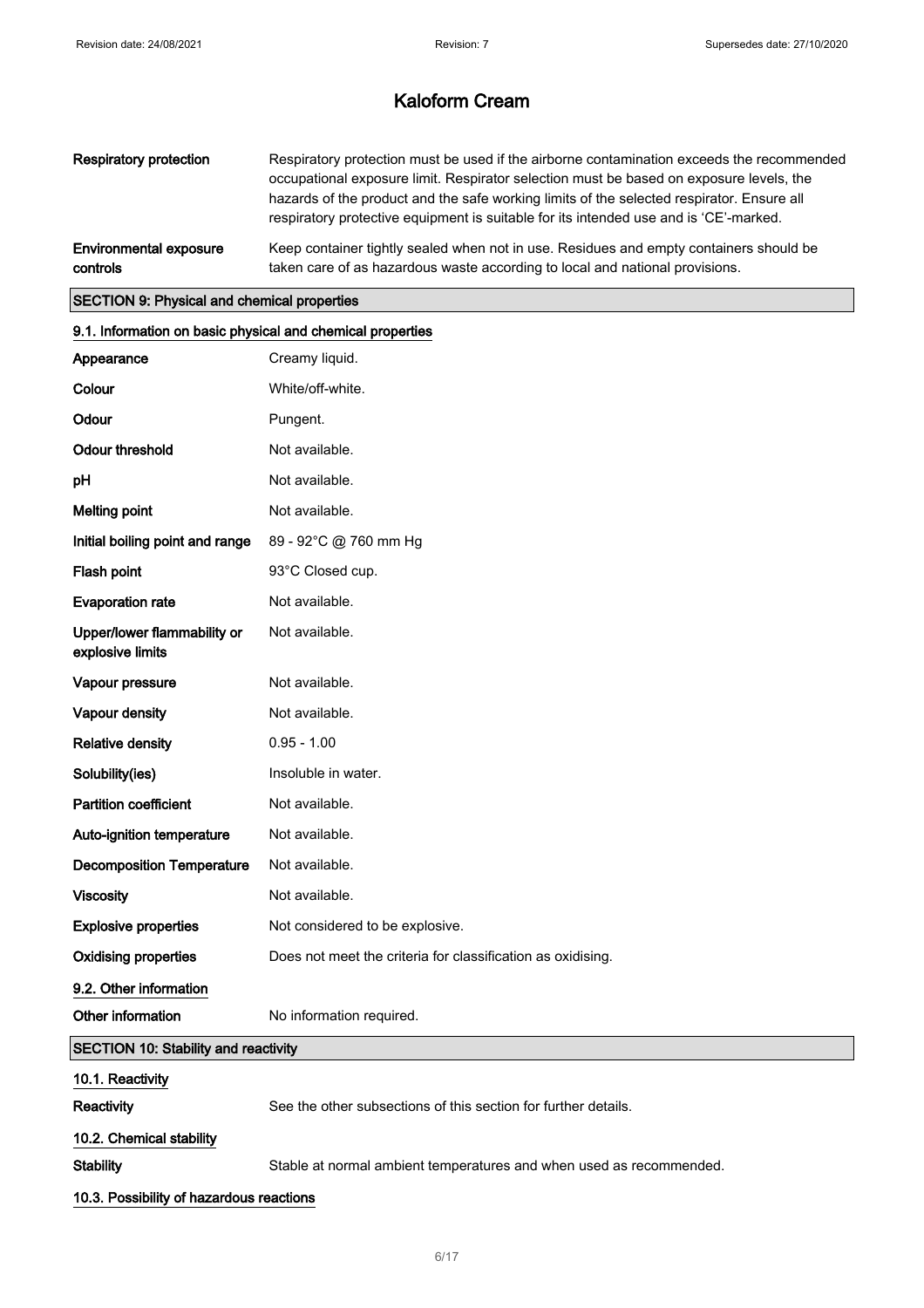| Respiratory protection        | Respiratory protection must be used if the airborne contamination exceeds the recommended<br>occupational exposure limit. Respirator selection must be based on exposure levels, the<br>hazards of the product and the safe working limits of the selected respirator. Ensure all<br>respiratory protective equipment is suitable for its intended use and is 'CE'-marked. |
|-------------------------------|----------------------------------------------------------------------------------------------------------------------------------------------------------------------------------------------------------------------------------------------------------------------------------------------------------------------------------------------------------------------------|
| <b>Environmental exposure</b> | Keep container tightly sealed when not in use. Residues and empty containers should be                                                                                                                                                                                                                                                                                     |
| controls                      | taken care of as hazardous waste according to local and national provisions.                                                                                                                                                                                                                                                                                               |

## SECTION 9: Physical and chemical properties

| 9.1. Information on basic physical and chemical properties |                                                                     |  |
|------------------------------------------------------------|---------------------------------------------------------------------|--|
| Appearance                                                 | Creamy liquid.                                                      |  |
| Colour                                                     | White/off-white.                                                    |  |
| Odour                                                      | Pungent.                                                            |  |
| <b>Odour threshold</b>                                     | Not available.                                                      |  |
| pH                                                         | Not available.                                                      |  |
| <b>Melting point</b>                                       | Not available.                                                      |  |
| Initial boiling point and range                            | 89 - 92°C @ 760 mm Hg                                               |  |
| Flash point                                                | 93°C Closed cup.                                                    |  |
| <b>Evaporation rate</b>                                    | Not available.                                                      |  |
| Upper/lower flammability or<br>explosive limits            | Not available.                                                      |  |
| Vapour pressure                                            | Not available.                                                      |  |
| Vapour density                                             | Not available.                                                      |  |
| <b>Relative density</b>                                    | $0.95 - 1.00$                                                       |  |
| Solubility(ies)                                            | Insoluble in water.                                                 |  |
| <b>Partition coefficient</b>                               | Not available.                                                      |  |
| Auto-ignition temperature                                  | Not available.                                                      |  |
| <b>Decomposition Temperature</b>                           | Not available.                                                      |  |
| <b>Viscosity</b>                                           | Not available.                                                      |  |
| <b>Explosive properties</b>                                | Not considered to be explosive.                                     |  |
| <b>Oxidising properties</b>                                | Does not meet the criteria for classification as oxidising.         |  |
| 9.2. Other information                                     |                                                                     |  |
| Other information                                          | No information required.                                            |  |
| <b>SECTION 10: Stability and reactivity</b>                |                                                                     |  |
| 10.1. Reactivity                                           |                                                                     |  |
| Reactivity                                                 | See the other subsections of this section for further details.      |  |
| 10.2. Chemical stability                                   |                                                                     |  |
| <b>Stability</b>                                           | Stable at normal ambient temperatures and when used as recommended. |  |
| 10.3. Possibility of hazardous reactions                   |                                                                     |  |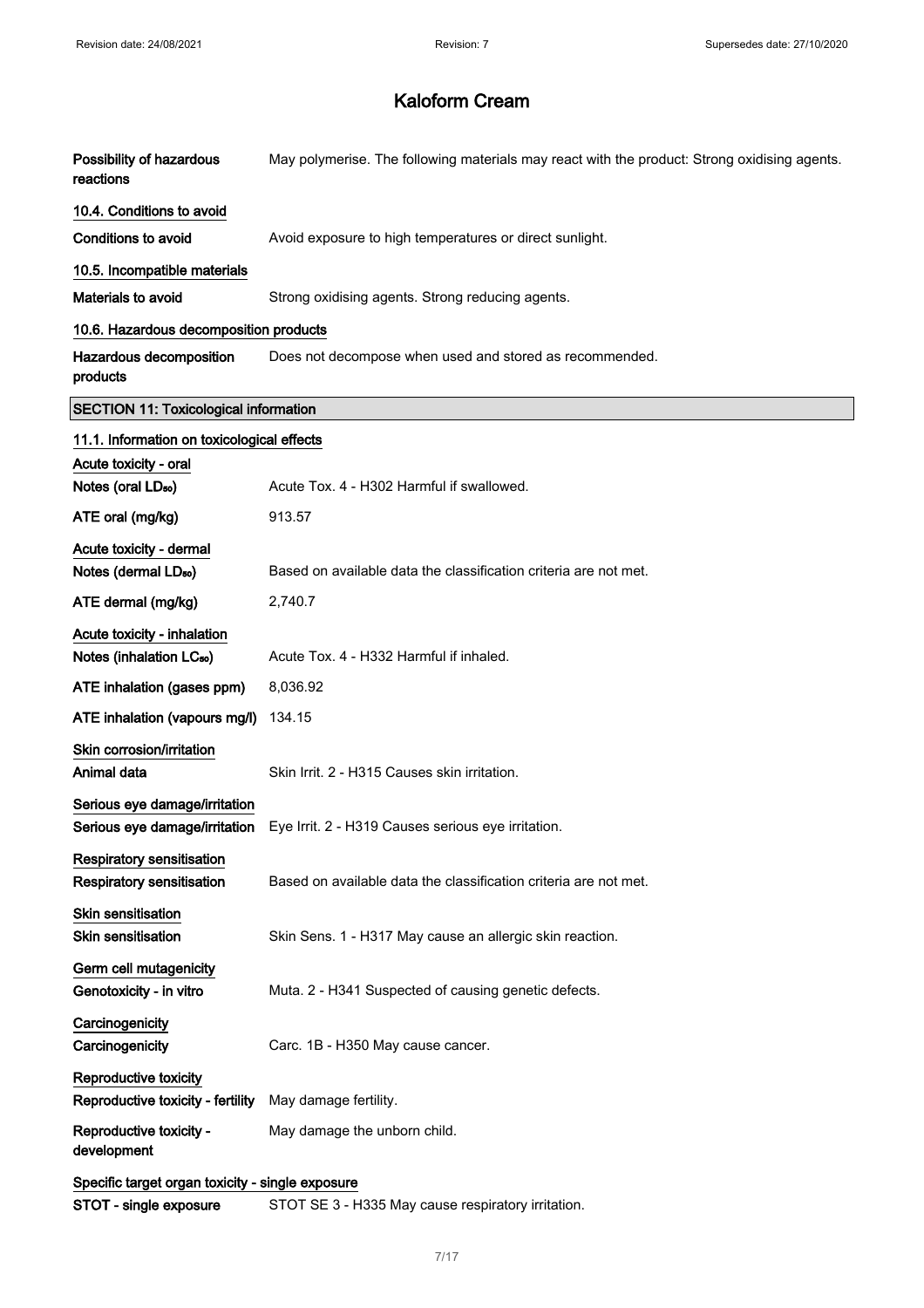| Possibility of hazardous<br>reactions                                | May polymerise. The following materials may react with the product: Strong oxidising agents. |
|----------------------------------------------------------------------|----------------------------------------------------------------------------------------------|
| 10.4. Conditions to avoid                                            |                                                                                              |
| <b>Conditions to avoid</b>                                           | Avoid exposure to high temperatures or direct sunlight.                                      |
| 10.5. Incompatible materials                                         |                                                                                              |
| <b>Materials to avoid</b>                                            | Strong oxidising agents. Strong reducing agents.                                             |
| 10.6. Hazardous decomposition products                               |                                                                                              |
| Hazardous decomposition<br>products                                  | Does not decompose when used and stored as recommended.                                      |
| <b>SECTION 11: Toxicological information</b>                         |                                                                                              |
| 11.1. Information on toxicological effects                           |                                                                                              |
| Acute toxicity - oral                                                |                                                                                              |
| Notes (oral LD <sub>50</sub> )                                       | Acute Tox. 4 - H302 Harmful if swallowed.                                                    |
| ATE oral (mg/kg)                                                     | 913.57                                                                                       |
| Acute toxicity - dermal                                              |                                                                                              |
| Notes (dermal LD <sub>50</sub> )                                     | Based on available data the classification criteria are not met.                             |
| ATE dermal (mg/kg)                                                   | 2,740.7                                                                                      |
| Acute toxicity - inhalation                                          |                                                                                              |
| Notes (inhalation LC <sub>50</sub> )                                 | Acute Tox. 4 - H332 Harmful if inhaled.                                                      |
| ATE inhalation (gases ppm)                                           | 8,036.92                                                                                     |
| ATE inhalation (vapours mg/l)                                        | 134.15                                                                                       |
| Skin corrosion/irritation<br>Animal data                             | Skin Irrit. 2 - H315 Causes skin irritation.                                                 |
| Serious eye damage/irritation<br>Serious eye damage/irritation       | Eye Irrit. 2 - H319 Causes serious eye irritation.                                           |
| <b>Respiratory sensitisation</b><br><b>Respiratory sensitisation</b> | Based on available data the classification criteria are not met.                             |
| Skin sensitisation<br><b>Skin sensitisation</b>                      | Skin Sens. 1 - H317 May cause an allergic skin reaction.                                     |
| Germ cell mutagenicity<br>Genotoxicity - in vitro                    | Muta. 2 - H341 Suspected of causing genetic defects.                                         |
| Carcinogenicity<br>Carcinogenicity                                   | Carc. 1B - H350 May cause cancer.                                                            |
| Reproductive toxicity<br>Reproductive toxicity - fertility           | May damage fertility.                                                                        |
|                                                                      |                                                                                              |
| Reproductive toxicity -<br>development                               | May damage the unborn child.                                                                 |
| Specific target organ toxicity - single exposure                     |                                                                                              |
| STOT - single exposure                                               | STOT SE 3 - H335 May cause respiratory irritation.                                           |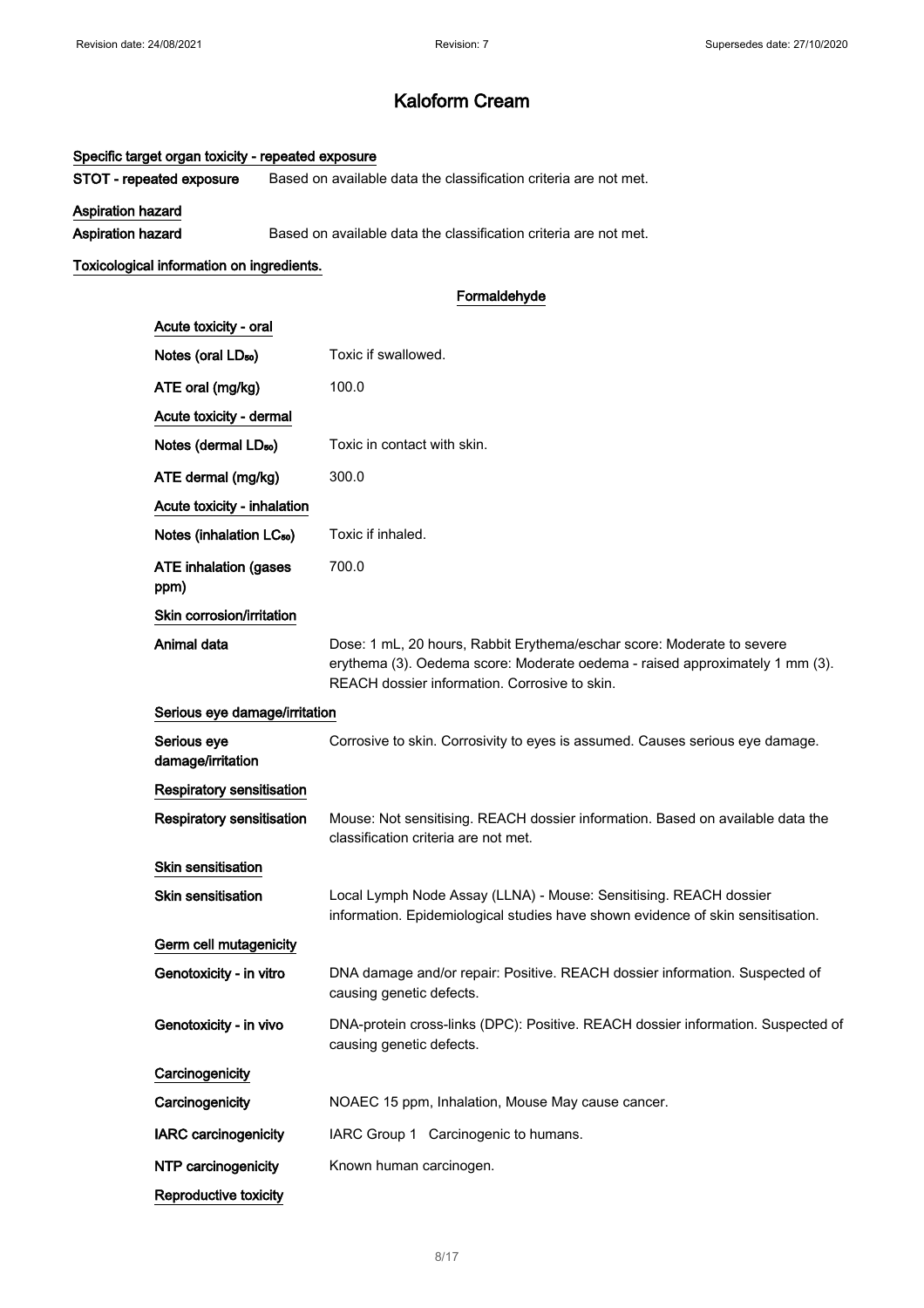## Specific target organ toxicity - repeated exposure

STOT - repeated exposure Based on available data the classification criteria are not met.

Aspiration hazard

Aspiration hazard Based on available data the classification criteria are not met.

### Toxicological information on ingredients.

## Formaldehyde

| Acute toxicity - oral                |                                                                                                                                                                                                         |
|--------------------------------------|---------------------------------------------------------------------------------------------------------------------------------------------------------------------------------------------------------|
| Notes (oral LD <sub>50</sub> )       | Toxic if swallowed.                                                                                                                                                                                     |
| ATE oral (mg/kg)                     | 100.0                                                                                                                                                                                                   |
| Acute toxicity - dermal              |                                                                                                                                                                                                         |
| Notes (dermal LD <sub>50</sub> )     | Toxic in contact with skin.                                                                                                                                                                             |
| ATE dermal (mg/kg)                   | 300.0                                                                                                                                                                                                   |
| Acute toxicity - inhalation          |                                                                                                                                                                                                         |
| Notes (inhalation LC <sub>50</sub> ) | Toxic if inhaled.                                                                                                                                                                                       |
| <b>ATE inhalation (gases</b><br>ppm) | 700.0                                                                                                                                                                                                   |
| Skin corrosion/irritation            |                                                                                                                                                                                                         |
| Animal data                          | Dose: 1 mL, 20 hours, Rabbit Erythema/eschar score: Moderate to severe<br>erythema (3). Oedema score: Moderate oedema - raised approximately 1 mm (3).<br>REACH dossier information. Corrosive to skin. |
| Serious eye damage/irritation        |                                                                                                                                                                                                         |
| Serious eye<br>damage/irritation     | Corrosive to skin. Corrosivity to eyes is assumed. Causes serious eye damage.                                                                                                                           |
| <b>Respiratory sensitisation</b>     |                                                                                                                                                                                                         |
| Respiratory sensitisation            | Mouse: Not sensitising. REACH dossier information. Based on available data the<br>classification criteria are not met.                                                                                  |
| <b>Skin sensitisation</b>            |                                                                                                                                                                                                         |
| <b>Skin sensitisation</b>            | Local Lymph Node Assay (LLNA) - Mouse: Sensitising. REACH dossier<br>information. Epidemiological studies have shown evidence of skin sensitisation.                                                    |
| Germ cell mutagenicity               |                                                                                                                                                                                                         |
| Genotoxicity - in vitro              | DNA damage and/or repair: Positive. REACH dossier information. Suspected of<br>causing genetic defects.                                                                                                 |
| Genotoxicity - in vivo               | DNA-protein cross-links (DPC): Positive. REACH dossier information. Suspected of<br>causing genetic defects.                                                                                            |
| Carcinogenicity                      |                                                                                                                                                                                                         |
| Carcinogenicity                      | NOAEC 15 ppm, Inhalation, Mouse May cause cancer.                                                                                                                                                       |
| <b>IARC</b> carcinogenicity          | IARC Group 1 Carcinogenic to humans.                                                                                                                                                                    |
| NTP carcinogenicity                  | Known human carcinogen.                                                                                                                                                                                 |
| Reproductive toxicity                |                                                                                                                                                                                                         |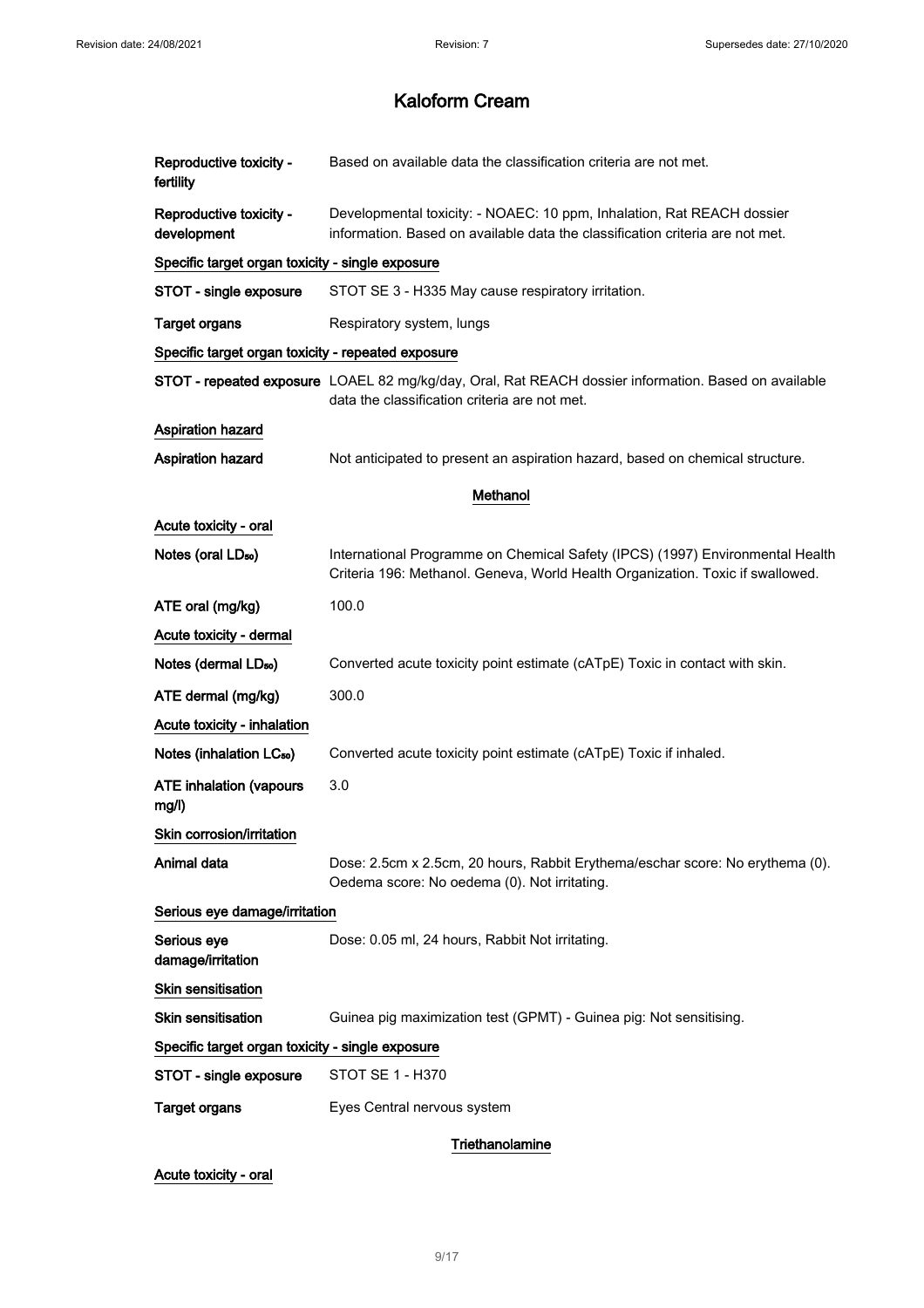| Reproductive toxicity -<br>fertility               | Based on available data the classification criteria are not met.                                                                                                |
|----------------------------------------------------|-----------------------------------------------------------------------------------------------------------------------------------------------------------------|
| Reproductive toxicity -<br>development             | Developmental toxicity: - NOAEC: 10 ppm, Inhalation, Rat REACH dossier<br>information. Based on available data the classification criteria are not met.         |
| Specific target organ toxicity - single exposure   |                                                                                                                                                                 |
| STOT - single exposure                             | STOT SE 3 - H335 May cause respiratory irritation.                                                                                                              |
| <b>Target organs</b>                               | Respiratory system, lungs                                                                                                                                       |
| Specific target organ toxicity - repeated exposure |                                                                                                                                                                 |
|                                                    | STOT - repeated exposure LOAEL 82 mg/kg/day, Oral, Rat REACH dossier information. Based on available<br>data the classification criteria are not met.           |
| Aspiration hazard                                  |                                                                                                                                                                 |
| <b>Aspiration hazard</b>                           | Not anticipated to present an aspiration hazard, based on chemical structure.                                                                                   |
|                                                    | Methanol                                                                                                                                                        |
| Acute toxicity - oral                              |                                                                                                                                                                 |
| Notes (oral LD <sub>50</sub> )                     | International Programme on Chemical Safety (IPCS) (1997) Environmental Health<br>Criteria 196: Methanol. Geneva, World Health Organization. Toxic if swallowed. |
| ATE oral (mg/kg)                                   | 100.0                                                                                                                                                           |
| Acute toxicity - dermal                            |                                                                                                                                                                 |
| Notes (dermal LD <sub>50</sub> )                   | Converted acute toxicity point estimate (cATpE) Toxic in contact with skin.                                                                                     |
| ATE dermal (mg/kg)                                 | 300.0                                                                                                                                                           |
| Acute toxicity - inhalation                        |                                                                                                                                                                 |
| Notes (inhalation LC <sub>50</sub> )               | Converted acute toxicity point estimate (cATpE) Toxic if inhaled.                                                                                               |
| <b>ATE inhalation (vapours</b><br>mg/l)            | 3.0                                                                                                                                                             |
| Skin corrosion/irritation                          |                                                                                                                                                                 |
| Animal data                                        | Dose: 2.5cm x 2.5cm, 20 hours, Rabbit Erythema/eschar score: No erythema (0).<br>Oedema score: No oedema (0). Not irritating.                                   |
| Serious eye damage/irritation                      |                                                                                                                                                                 |
| Serious eye<br>damage/irritation                   | Dose: 0.05 ml, 24 hours, Rabbit Not irritating.                                                                                                                 |
| Skin sensitisation                                 |                                                                                                                                                                 |
| Skin sensitisation                                 | Guinea pig maximization test (GPMT) - Guinea pig: Not sensitising.                                                                                              |
| Specific target organ toxicity - single exposure   |                                                                                                                                                                 |
| STOT - single exposure                             | STOT SE 1 - H370                                                                                                                                                |
| <b>Target organs</b>                               | Eyes Central nervous system                                                                                                                                     |
|                                                    | Triethanolamine                                                                                                                                                 |

Acute toxicity - oral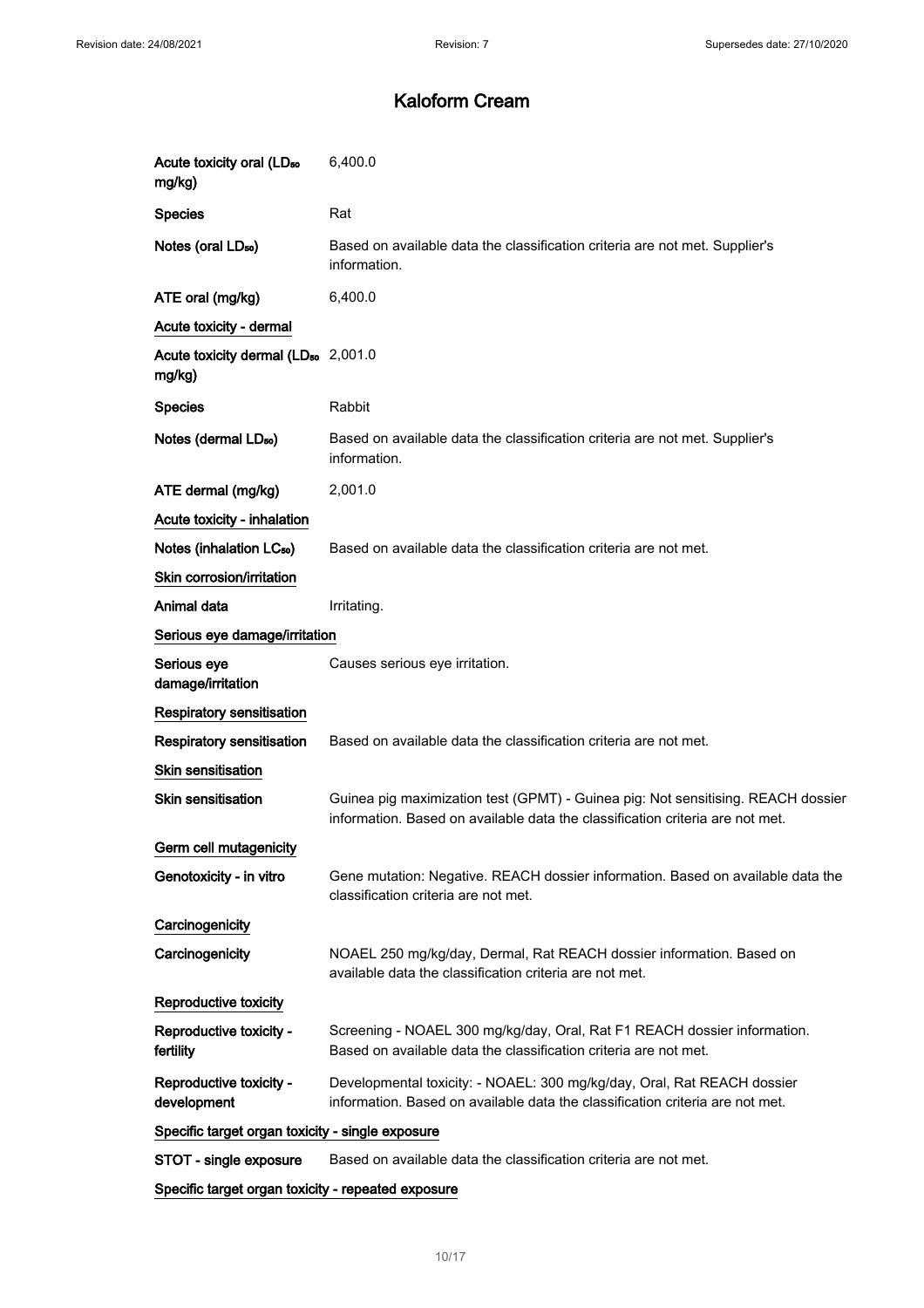| Acute toxicity oral (LD <sub>50</sub><br>mg/kg)           | 6,400.0                                                                                                                                                           |
|-----------------------------------------------------------|-------------------------------------------------------------------------------------------------------------------------------------------------------------------|
| <b>Species</b>                                            | Rat                                                                                                                                                               |
| Notes (oral LD <sub>50</sub> )                            | Based on available data the classification criteria are not met. Supplier's<br>information.                                                                       |
| ATE oral (mg/kg)                                          | 6,400.0                                                                                                                                                           |
| Acute toxicity - dermal                                   |                                                                                                                                                                   |
| Acute toxicity dermal (LD <sub>50</sub> 2,001.0<br>mg/kg) |                                                                                                                                                                   |
| <b>Species</b>                                            | Rabbit                                                                                                                                                            |
| Notes (dermal LD <sub>50</sub> )                          | Based on available data the classification criteria are not met. Supplier's<br>information.                                                                       |
| ATE dermal (mg/kg)                                        | 2,001.0                                                                                                                                                           |
| Acute toxicity - inhalation                               |                                                                                                                                                                   |
| Notes (inhalation LC <sub>50</sub> )                      | Based on available data the classification criteria are not met.                                                                                                  |
| Skin corrosion/irritation                                 |                                                                                                                                                                   |
| Animal data                                               | Irritating.                                                                                                                                                       |
| Serious eye damage/irritation                             |                                                                                                                                                                   |
| Serious eye<br>damage/irritation                          | Causes serious eye irritation.                                                                                                                                    |
| <b>Respiratory sensitisation</b>                          |                                                                                                                                                                   |
| Respiratory sensitisation                                 | Based on available data the classification criteria are not met.                                                                                                  |
| Skin sensitisation                                        |                                                                                                                                                                   |
| <b>Skin sensitisation</b>                                 | Guinea pig maximization test (GPMT) - Guinea pig: Not sensitising. REACH dossier<br>information. Based on available data the classification criteria are not met. |
| Germ cell mutagenicity                                    |                                                                                                                                                                   |
| Genotoxicity - in vitro                                   | Gene mutation: Negative. REACH dossier information. Based on available data the<br>classification criteria are not met.                                           |
| Carcinogenicity                                           |                                                                                                                                                                   |
| Carcinogenicity                                           | NOAEL 250 mg/kg/day, Dermal, Rat REACH dossier information. Based on<br>available data the classification criteria are not met.                                   |
| Reproductive toxicity                                     |                                                                                                                                                                   |
| Reproductive toxicity -<br>fertility                      | Screening - NOAEL 300 mg/kg/day, Oral, Rat F1 REACH dossier information.<br>Based on available data the classification criteria are not met.                      |
| Reproductive toxicity -<br>development                    | Developmental toxicity: - NOAEL: 300 mg/kg/day, Oral, Rat REACH dossier<br>information. Based on available data the classification criteria are not met.          |
| Specific target organ toxicity - single exposure          |                                                                                                                                                                   |
| STOT - single exposure                                    | Based on available data the classification criteria are not met.                                                                                                  |
| Specific target organ toxicity - repeated exposure        |                                                                                                                                                                   |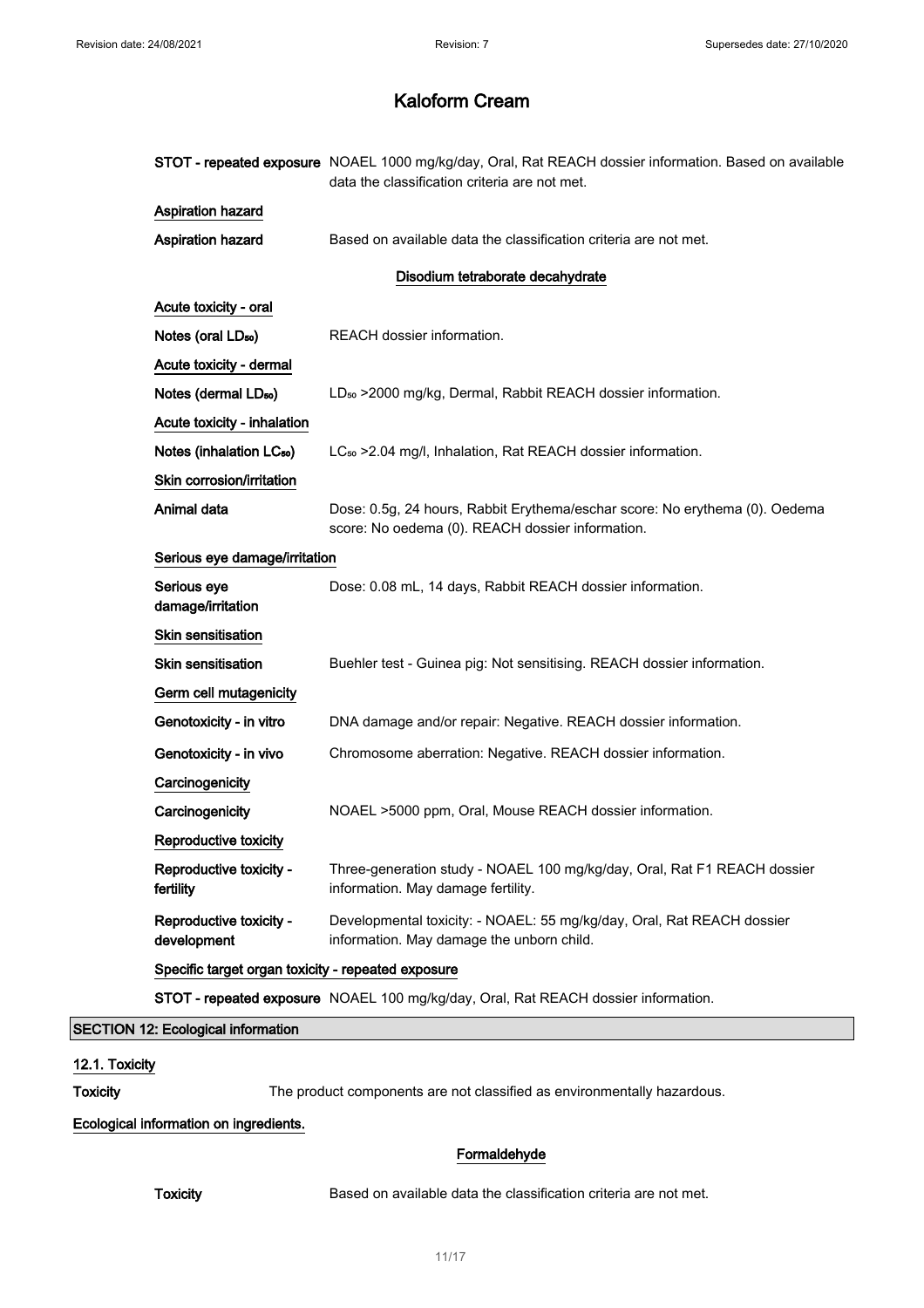|                                                                                                              |                                                    | STOT - repeated exposure NOAEL 1000 mg/kg/day, Oral, Rat REACH dossier information. Based on available<br>data the classification criteria are not met. |  |  |  |
|--------------------------------------------------------------------------------------------------------------|----------------------------------------------------|---------------------------------------------------------------------------------------------------------------------------------------------------------|--|--|--|
|                                                                                                              | <b>Aspiration hazard</b>                           |                                                                                                                                                         |  |  |  |
|                                                                                                              | Aspiration hazard                                  | Based on available data the classification criteria are not met.                                                                                        |  |  |  |
|                                                                                                              |                                                    | Disodium tetraborate decahydrate                                                                                                                        |  |  |  |
|                                                                                                              | Acute toxicity - oral                              |                                                                                                                                                         |  |  |  |
|                                                                                                              | Notes (oral LD <sub>50</sub> )                     | REACH dossier information.                                                                                                                              |  |  |  |
|                                                                                                              | Acute toxicity - dermal                            |                                                                                                                                                         |  |  |  |
|                                                                                                              | Notes (dermal LD <sub>50</sub> )                   | LD <sub>50</sub> > 2000 mg/kg, Dermal, Rabbit REACH dossier information.                                                                                |  |  |  |
|                                                                                                              | Acute toxicity - inhalation                        |                                                                                                                                                         |  |  |  |
|                                                                                                              | Notes (inhalation LC <sub>50</sub> )               | LC <sub>50</sub> > 2.04 mg/l, Inhalation, Rat REACH dossier information.                                                                                |  |  |  |
|                                                                                                              | Skin corrosion/irritation                          |                                                                                                                                                         |  |  |  |
|                                                                                                              | Animal data                                        | Dose: 0.5g, 24 hours, Rabbit Erythema/eschar score: No erythema (0). Oedema<br>score: No oedema (0). REACH dossier information.                         |  |  |  |
|                                                                                                              | Serious eye damage/irritation                      |                                                                                                                                                         |  |  |  |
|                                                                                                              | Serious eye<br>damage/irritation                   | Dose: 0.08 mL, 14 days, Rabbit REACH dossier information.                                                                                               |  |  |  |
|                                                                                                              | Skin sensitisation                                 |                                                                                                                                                         |  |  |  |
|                                                                                                              | <b>Skin sensitisation</b>                          | Buehler test - Guinea pig: Not sensitising. REACH dossier information.                                                                                  |  |  |  |
|                                                                                                              | Germ cell mutagenicity                             |                                                                                                                                                         |  |  |  |
|                                                                                                              | Genotoxicity - in vitro                            | DNA damage and/or repair: Negative. REACH dossier information.                                                                                          |  |  |  |
|                                                                                                              | Genotoxicity - in vivo                             | Chromosome aberration: Negative. REACH dossier information.                                                                                             |  |  |  |
|                                                                                                              | Carcinogenicity                                    |                                                                                                                                                         |  |  |  |
|                                                                                                              | Carcinogenicity                                    | NOAEL >5000 ppm, Oral, Mouse REACH dossier information.                                                                                                 |  |  |  |
|                                                                                                              | Reproductive toxicity                              |                                                                                                                                                         |  |  |  |
|                                                                                                              | Reproductive toxicity -<br>fertility               | Three-generation study - NOAEL 100 mg/kg/day, Oral, Rat F1 REACH dossier<br>information. May damage fertility.                                          |  |  |  |
|                                                                                                              | Reproductive toxicity -<br>development             | Developmental toxicity: - NOAEL: 55 mg/kg/day, Oral, Rat REACH dossier<br>information. May damage the unborn child.                                     |  |  |  |
|                                                                                                              | Specific target organ toxicity - repeated exposure |                                                                                                                                                         |  |  |  |
|                                                                                                              |                                                    | STOT - repeated exposure NOAEL 100 mg/kg/day, Oral, Rat REACH dossier information.                                                                      |  |  |  |
| <b>SECTION 12: Ecological information</b>                                                                    |                                                    |                                                                                                                                                         |  |  |  |
| 12.1. Toxicity<br><b>Toxicity</b><br>The product components are not classified as environmentally hazardous. |                                                    |                                                                                                                                                         |  |  |  |
|                                                                                                              | Ecological information on ingredients.             |                                                                                                                                                         |  |  |  |
| Formaldehyde                                                                                                 |                                                    |                                                                                                                                                         |  |  |  |

Toxicity **Based on available data the classification criteria are not met.**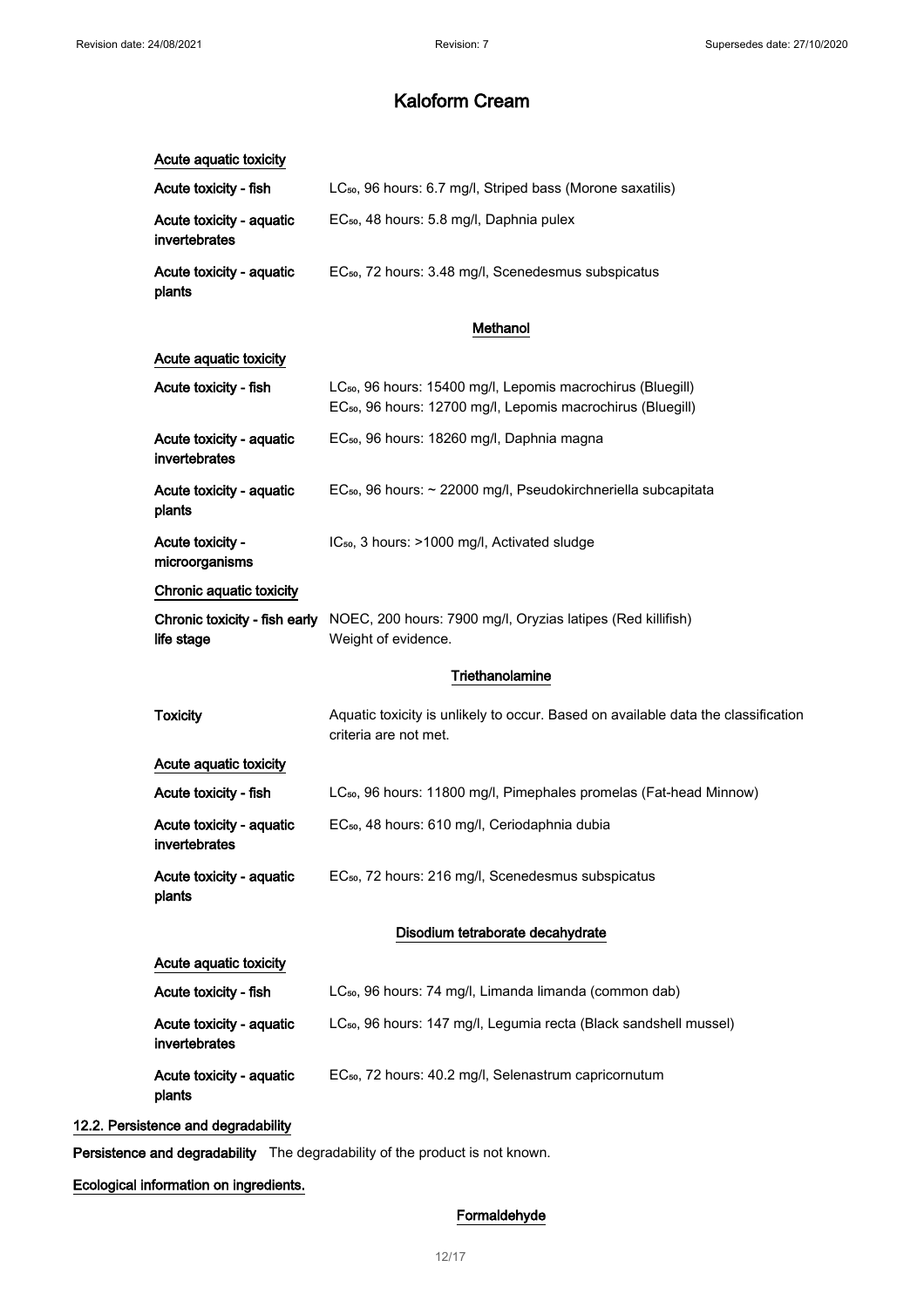| Acute aquatic toxicity                      |                                                                                                                                                    |
|---------------------------------------------|----------------------------------------------------------------------------------------------------------------------------------------------------|
| Acute toxicity - fish                       | LC <sub>50</sub> , 96 hours: 6.7 mg/l, Striped bass (Morone saxatilis)                                                                             |
| Acute toxicity - aquatic<br>invertebrates   | EC <sub>50</sub> , 48 hours: 5.8 mg/l, Daphnia pulex                                                                                               |
| Acute toxicity - aquatic<br>plants          | EC <sub>50</sub> , 72 hours: 3.48 mg/l, Scenedesmus subspicatus                                                                                    |
|                                             | Methanol                                                                                                                                           |
| Acute aquatic toxicity                      |                                                                                                                                                    |
| Acute toxicity - fish                       | LC <sub>50</sub> , 96 hours: 15400 mg/l, Lepomis macrochirus (Bluegill)<br>EC <sub>50</sub> , 96 hours: 12700 mg/l, Lepomis macrochirus (Bluegill) |
| Acute toxicity - aquatic<br>invertebrates   | EC <sub>50</sub> , 96 hours: 18260 mg/l, Daphnia magna                                                                                             |
| Acute toxicity - aquatic<br>plants          | EC <sub>50</sub> , 96 hours: ~ 22000 mg/l, Pseudokirchneriella subcapitata                                                                         |
| Acute toxicity -<br>microorganisms          | IC <sub>50</sub> , 3 hours: >1000 mg/l, Activated sludge                                                                                           |
| Chronic aquatic toxicity                    |                                                                                                                                                    |
| Chronic toxicity - fish early<br>life stage | NOEC, 200 hours: 7900 mg/l, Oryzias latipes (Red killifish)<br>Weight of evidence.                                                                 |
|                                             | Triethanolamine                                                                                                                                    |
| <b>Toxicity</b>                             | Aquatic toxicity is unlikely to occur. Based on available data the classification<br>criteria are not met.                                         |
| Acute aquatic toxicity                      |                                                                                                                                                    |
| Acute toxicity - fish                       | LC <sub>50</sub> , 96 hours: 11800 mg/l, Pimephales promelas (Fat-head Minnow)                                                                     |
| Acute toxicity - aquatic<br>invertebrates   | EC <sub>50</sub> , 48 hours: 610 mg/l, Ceriodaphnia dubia                                                                                          |
| Acute toxicity - aquatic<br>plants          | EC <sub>50</sub> , 72 hours: 216 mg/l, Scenedesmus subspicatus                                                                                     |
|                                             | Disodium tetraborate decahydrate                                                                                                                   |
| Acute aquatic toxicity                      |                                                                                                                                                    |
| Acute toxicity - fish                       | LC <sub>50</sub> , 96 hours: 74 mg/l, Limanda limanda (common dab)                                                                                 |
| Acute toxicity - aquatic<br>invertebrates   | LC <sub>50</sub> , 96 hours: 147 mg/l, Legumia recta (Black sandshell mussel)                                                                      |
| Acute toxicity - aquatic<br>plants          | EC <sub>50</sub> , 72 hours: 40.2 mg/l, Selenastrum capricornutum                                                                                  |
| 12.2. Persistence and degradability         |                                                                                                                                                    |

Persistence and degradability The degradability of the product is not known.

## Ecological information on ingredients.

## Formaldehyde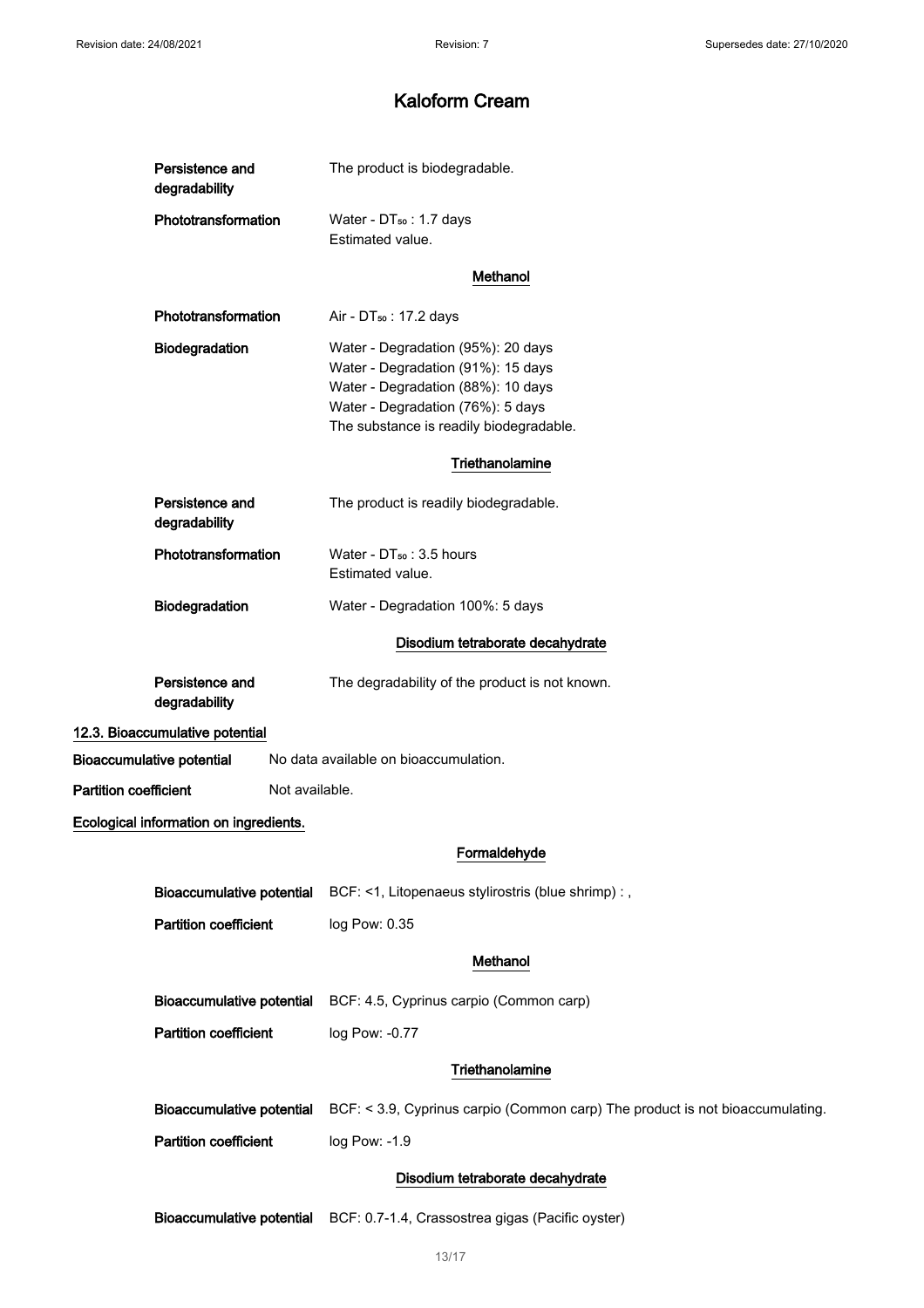| Persistence and<br>degradability       | The product is biodegradable.                                                                                                                                                                  |
|----------------------------------------|------------------------------------------------------------------------------------------------------------------------------------------------------------------------------------------------|
| Phototransformation                    | Water - DT <sub>50</sub> : 1.7 days<br>Estimated value.                                                                                                                                        |
|                                        | Methanol                                                                                                                                                                                       |
| Phototransformation                    | Air - DT <sub>50</sub> : 17.2 days                                                                                                                                                             |
| Biodegradation                         | Water - Degradation (95%): 20 days<br>Water - Degradation (91%): 15 days<br>Water - Degradation (88%): 10 days<br>Water - Degradation (76%): 5 days<br>The substance is readily biodegradable. |
|                                        | Triethanolamine                                                                                                                                                                                |
| Persistence and<br>degradability       | The product is readily biodegradable.                                                                                                                                                          |
| Phototransformation                    | Water - DT <sub>50</sub> : 3.5 hours<br>Estimated value.                                                                                                                                       |
| Biodegradation                         | Water - Degradation 100%: 5 days                                                                                                                                                               |
|                                        | Disodium tetraborate decahydrate                                                                                                                                                               |
| Persistence and<br>degradability       | The degradability of the product is not known.                                                                                                                                                 |
| 12.3. Bioaccumulative potential        |                                                                                                                                                                                                |
| <b>Bioaccumulative potential</b>       | No data available on bioaccumulation.                                                                                                                                                          |
| <b>Partition coefficient</b>           | Not available.                                                                                                                                                                                 |
| Ecological information on ingredients. |                                                                                                                                                                                                |
|                                        | Formaldehyde                                                                                                                                                                                   |
|                                        | Bioaccumulative potential BCF: <1, Litopenaeus stylirostris (blue shrimp) : ,                                                                                                                  |
| <b>Partition coefficient</b>           | log Pow: 0.35                                                                                                                                                                                  |
|                                        | Methanol                                                                                                                                                                                       |
|                                        | Bioaccumulative potential BCF: 4.5, Cyprinus carpio (Common carp)                                                                                                                              |
| <b>Partition coefficient</b>           | log Pow: -0.77                                                                                                                                                                                 |
|                                        | Triethanolamine                                                                                                                                                                                |
| <b>Bioaccumulative potential</b>       | BCF: < 3.9, Cyprinus carpio (Common carp) The product is not bioaccumulating.                                                                                                                  |
| <b>Partition coefficient</b>           | log Pow: -1.9                                                                                                                                                                                  |
|                                        | Disodium tetraborate decahydrate                                                                                                                                                               |
| <b>Bioaccumulative potential</b>       | BCF: 0.7-1.4, Crassostrea gigas (Pacific oyster)                                                                                                                                               |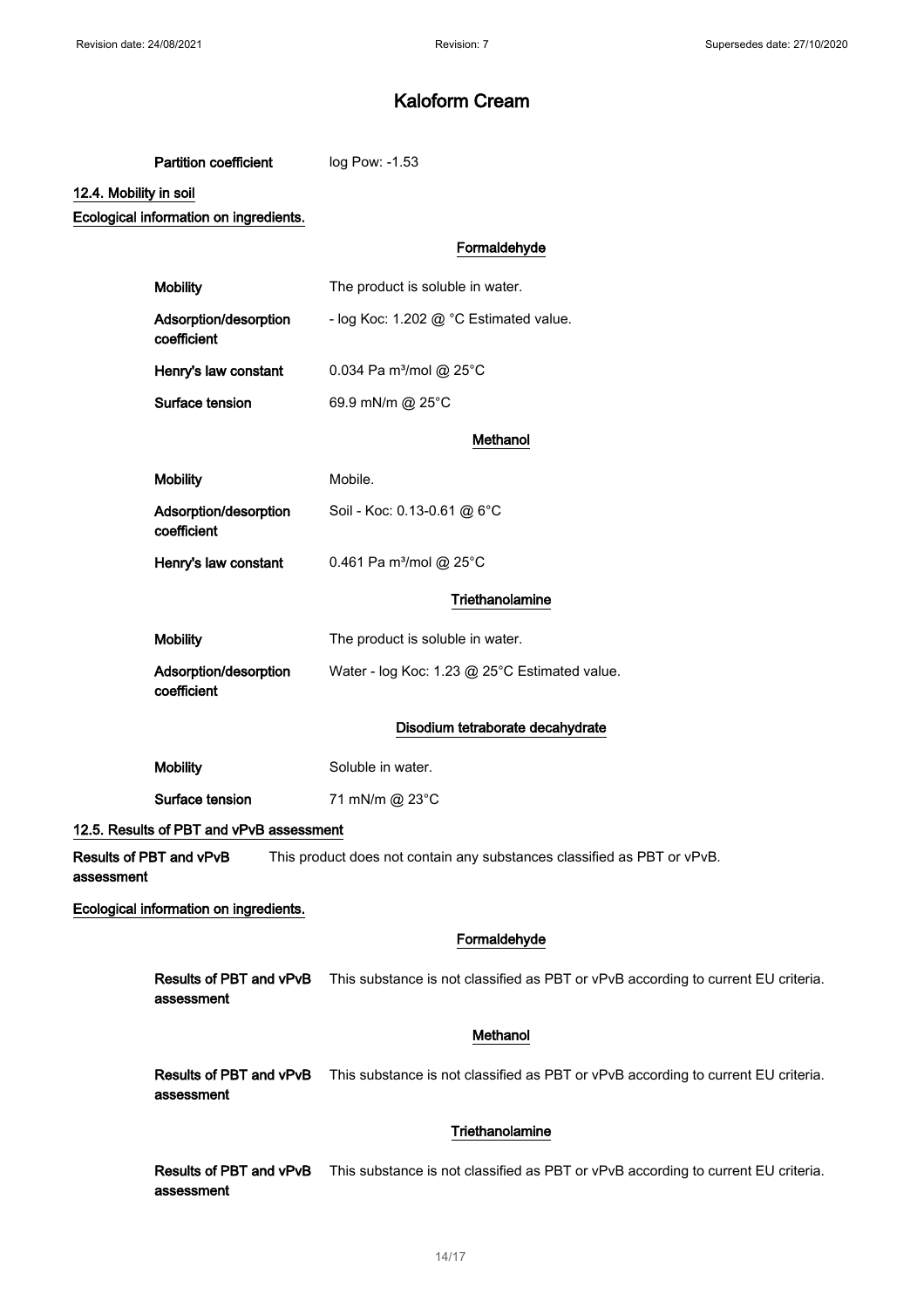Partition coefficient log Pow: -1.53

### 12.4. Mobility in soil

Ecological information on ingredients.

|            |                                          | Formaldehyde                                                                      |
|------------|------------------------------------------|-----------------------------------------------------------------------------------|
|            | <b>Mobility</b>                          | The product is soluble in water.                                                  |
|            | Adsorption/desorption<br>coefficient     | - log Koc: 1.202 @ °C Estimated value.                                            |
|            | Henry's law constant                     | 0.034 Pa m <sup>3</sup> /mol @ 25°C                                               |
|            | Surface tension                          | 69.9 mN/m @ 25°C                                                                  |
|            |                                          | Methanol                                                                          |
|            | <b>Mobility</b>                          | Mobile.                                                                           |
|            | Adsorption/desorption<br>coefficient     | Soil - Koc: 0.13-0.61 @ 6°C                                                       |
|            | Henry's law constant                     | 0.461 Pa m <sup>3</sup> /mol @ 25°C                                               |
|            |                                          | Triethanolamine                                                                   |
|            | <b>Mobility</b>                          | The product is soluble in water.                                                  |
|            | Adsorption/desorption<br>coefficient     | Water - log Koc: 1.23 @ 25°C Estimated value.                                     |
|            |                                          | Disodium tetraborate decahydrate                                                  |
|            | <b>Mobility</b>                          | Soluble in water.                                                                 |
|            | Surface tension                          | 71 mN/m @ 23°C                                                                    |
|            | 12.5. Results of PBT and vPvB assessment |                                                                                   |
| assessment | Results of PBT and vPvB                  | This product does not contain any substances classified as PBT or vPvB.           |
|            | Ecological information on ingredients.   |                                                                                   |
|            |                                          | Formaldehyde                                                                      |
|            | Results of PBT and vPvB<br>assessment    | This substance is not classified as PBT or vPvB according to current EU criteria. |

### Methanol

Results of PBT and vPvB This substance is not classified as PBT or vPvB according to current EU criteria. assessment

### **Triethanolamine**

Results of PBT and vPvB This substance is not classified as PBT or vPvB according to current EU criteria. assessment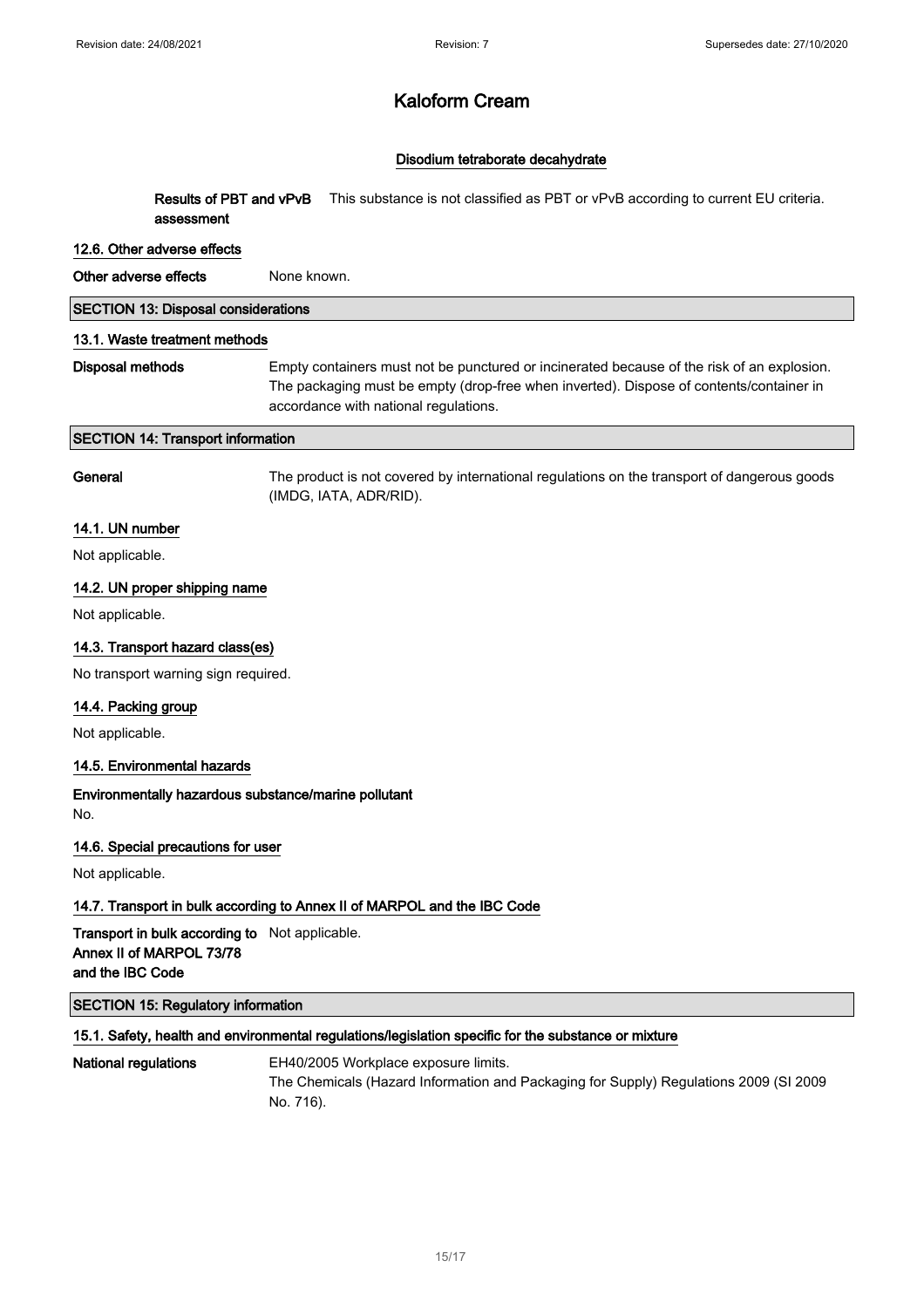### Disodium tetraborate decahydrate

Results of PBT and vPvB assessment This substance is not classified as PBT or vPvB according to current EU criteria.

#### 12.6. Other adverse effects

Other adverse effects None known.

## SECTION 13: Disposal considerations

#### 13.1. Waste treatment methods

Disposal methods Empty containers must not be punctured or incinerated because of the risk of an explosion. The packaging must be empty (drop-free when inverted). Dispose of contents/container in accordance with national regulations.

#### SECTION 14: Transport information

General The product is not covered by international regulations on the transport of dangerous goods (IMDG, IATA, ADR/RID).

#### 14.1. UN number

Not applicable.

#### 14.2. UN proper shipping name

Not applicable.

#### 14.3. Transport hazard class(es)

No transport warning sign required.

#### 14.4. Packing group

Not applicable.

#### 14.5. Environmental hazards

#### Environmentally hazardous substance/marine pollutant No.

14.6. Special precautions for user

Not applicable.

#### 14.7. Transport in bulk according to Annex II of MARPOL and the IBC Code

Transport in bulk according to Not applicable. Annex II of MARPOL 73/78 and the IBC Code

### SECTION 15: Regulatory information

#### 15.1. Safety, health and environmental regulations/legislation specific for the substance or mixture

National regulations EH40/2005 Workplace exposure limits. The Chemicals (Hazard Information and Packaging for Supply) Regulations 2009 (SI 2009 No. 716).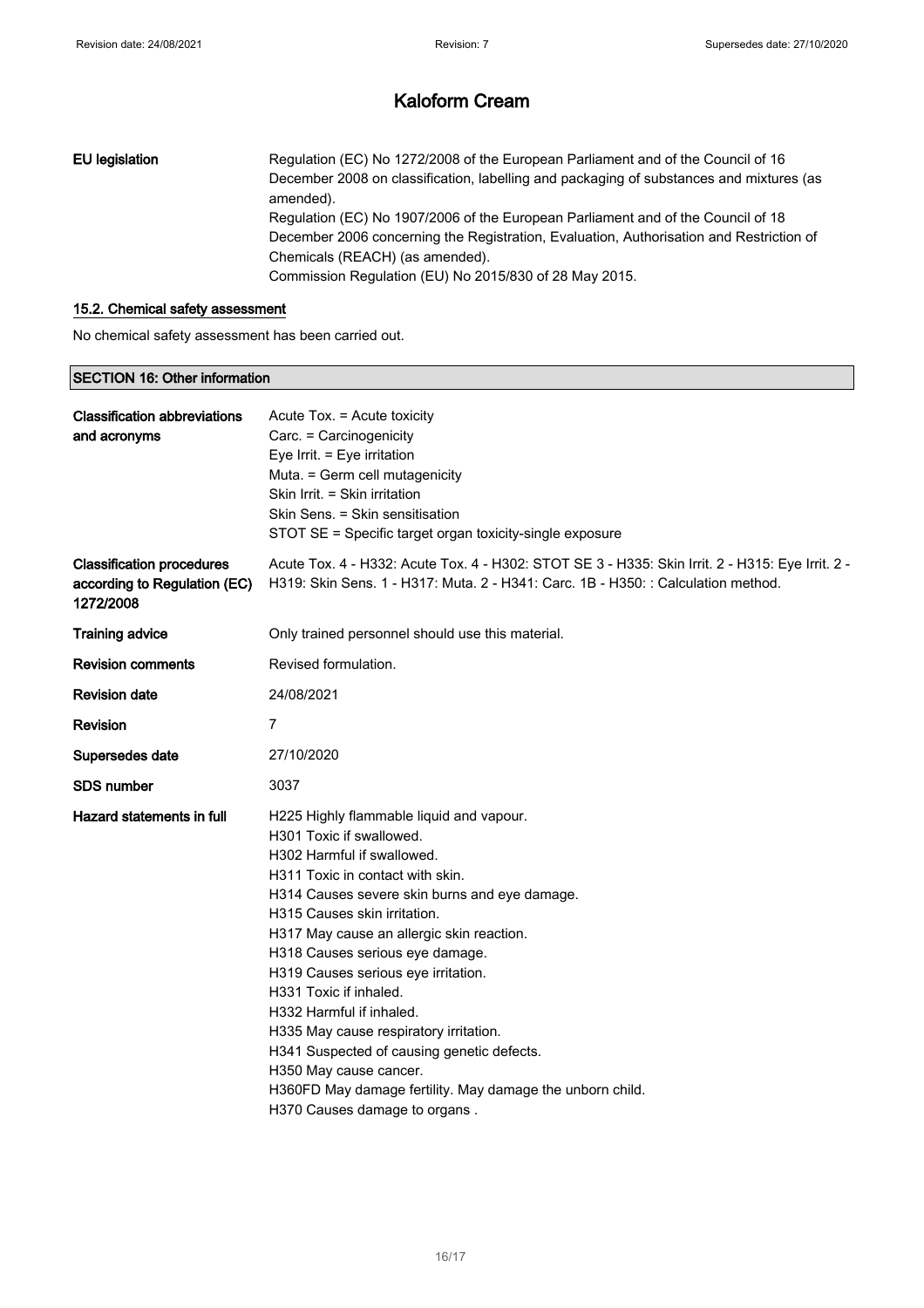## EU legislation Regulation (EC) No 1272/2008 of the European Parliament and of the Council of 16 December 2008 on classification, labelling and packaging of substances and mixtures (as amended). Regulation (EC) No 1907/2006 of the European Parliament and of the Council of 18 December 2006 concerning the Registration, Evaluation, Authorisation and Restriction of Chemicals (REACH) (as amended). Commission Regulation (EU) No 2015/830 of 28 May 2015.

#### 15.2. Chemical safety assessment

No chemical safety assessment has been carried out.

#### SECTION 16: Other information

| <b>Classification abbreviations</b><br>and acronyms                           | Acute Tox. = Acute toxicity<br>Carc. = Carcinogenicity<br>Eye Irrit. = Eye irritation<br>Muta. = Germ cell mutagenicity<br>Skin Irrit. = Skin irritation<br>Skin Sens. = Skin sensitisation<br>STOT SE = Specific target organ toxicity-single exposure                                                                                                                                                                                                                                                                                                                                                              |
|-------------------------------------------------------------------------------|----------------------------------------------------------------------------------------------------------------------------------------------------------------------------------------------------------------------------------------------------------------------------------------------------------------------------------------------------------------------------------------------------------------------------------------------------------------------------------------------------------------------------------------------------------------------------------------------------------------------|
| <b>Classification procedures</b><br>according to Regulation (EC)<br>1272/2008 | Acute Tox. 4 - H332: Acute Tox. 4 - H302: STOT SE 3 - H335: Skin Irrit. 2 - H315: Eye Irrit. 2 -<br>H319: Skin Sens. 1 - H317: Muta. 2 - H341: Carc. 1B - H350: : Calculation method.                                                                                                                                                                                                                                                                                                                                                                                                                                |
| <b>Training advice</b>                                                        | Only trained personnel should use this material.                                                                                                                                                                                                                                                                                                                                                                                                                                                                                                                                                                     |
| <b>Revision comments</b>                                                      | Revised formulation.                                                                                                                                                                                                                                                                                                                                                                                                                                                                                                                                                                                                 |
| <b>Revision date</b>                                                          | 24/08/2021                                                                                                                                                                                                                                                                                                                                                                                                                                                                                                                                                                                                           |
| Revision                                                                      | 7                                                                                                                                                                                                                                                                                                                                                                                                                                                                                                                                                                                                                    |
| Supersedes date                                                               | 27/10/2020                                                                                                                                                                                                                                                                                                                                                                                                                                                                                                                                                                                                           |
| <b>SDS</b> number                                                             | 3037                                                                                                                                                                                                                                                                                                                                                                                                                                                                                                                                                                                                                 |
| Hazard statements in full                                                     | H225 Highly flammable liquid and vapour.<br>H301 Toxic if swallowed.<br>H302 Harmful if swallowed.<br>H311 Toxic in contact with skin.<br>H314 Causes severe skin burns and eye damage.<br>H315 Causes skin irritation.<br>H317 May cause an allergic skin reaction.<br>H318 Causes serious eye damage.<br>H319 Causes serious eye irritation.<br>H331 Toxic if inhaled.<br>H332 Harmful if inhaled.<br>H335 May cause respiratory irritation.<br>H341 Suspected of causing genetic defects.<br>H350 May cause cancer.<br>H360FD May damage fertility. May damage the unborn child.<br>H370 Causes damage to organs. |